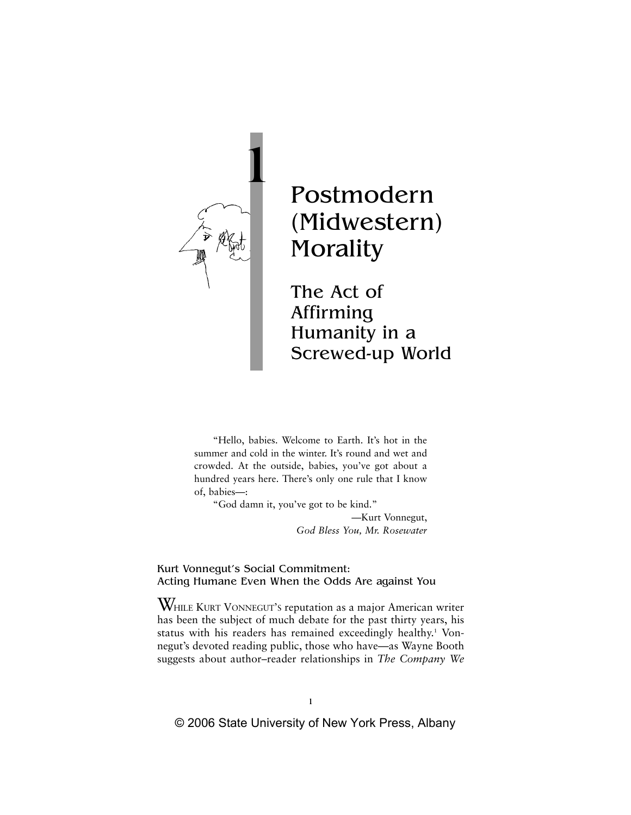

# Postmodern (Midwestern) Morality

The Act of Affirming Humanity in a Screwed-up World

"Hello, babies. Welcome to Earth. It's hot in the summer and cold in the winter. It's round and wet and crowded. At the outside, babies, you've got about a hundred years here. There's only one rule that I know of, babies—:

"God damn it, you've got to be kind."

—Kurt Vonnegut, *God Bless You, Mr. Rosewater*

## Kurt Vonnegut's Social Commitment: Acting Humane Even When the Odds Are against You

WHILE KURT VONNEGUT'S reputation as a major American writer has been the subject of much debate for the past thirty years, his status with his readers has remained exceedingly healthy. <sup>1</sup> Vonnegut's devoted reading public, those who have—as Wayne Booth suggests about author–reader relationships in *The Company We*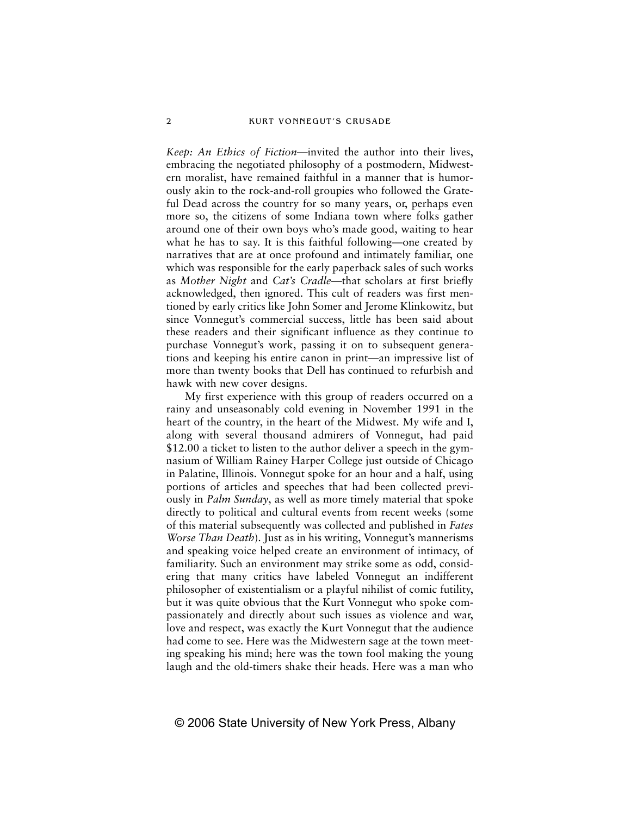*Keep: An Ethics of Fiction*—invited the author into their lives, embracing the negotiated philosophy of a postmodern, Midwestern moralist, have remained faithful in a manner that is humorously akin to the rock-and-roll groupies who followed the Grateful Dead across the country for so many years, or, perhaps even more so, the citizens of some Indiana town where folks gather around one of their own boys who's made good, waiting to hear what he has to say. It is this faithful following—one created by narratives that are at once profound and intimately familiar, one which was responsible for the early paperback sales of such works as *Mother Night* and *Cat's Cradle*—that scholars at first briefly acknowledged, then ignored. This cult of readers was first mentioned by early critics like John Somer and Jerome Klinkowitz, but since Vonnegut's commercial success, little has been said about these readers and their significant influence as they continue to purchase Vonnegut's work, passing it on to subsequent generations and keeping his entire canon in print—an impressive list of more than twenty books that Dell has continued to refurbish and hawk with new cover designs.

My first experience with this group of readers occurred on a rainy and unseasonably cold evening in November 1991 in the heart of the country, in the heart of the Midwest. My wife and I, along with several thousand admirers of Vonnegut, had paid \$12.00 a ticket to listen to the author deliver a speech in the gymnasium of William Rainey Harper College just outside of Chicago in Palatine, Illinois. Vonnegut spoke for an hour and a half, using portions of articles and speeches that had been collected previously in *Palm Sunday*, as well as more timely material that spoke directly to political and cultural events from recent weeks (some of this material subsequently was collected and published in *Fates Worse Than Death*). Just as in his writing, Vonnegut's mannerisms and speaking voice helped create an environment of intimacy, of familiarity. Such an environment may strike some as odd, considering that many critics have labeled Vonnegut an indifferent philosopher of existentialism or a playful nihilist of comic futility, but it was quite obvious that the Kurt Vonnegut who spoke compassionately and directly about such issues as violence and war, love and respect, was exactly the Kurt Vonnegut that the audience had come to see. Here was the Midwestern sage at the town meeting speaking his mind; here was the town fool making the young laugh and the old-timers shake their heads. Here was a man who

© 2006 State University of New York Press, Albany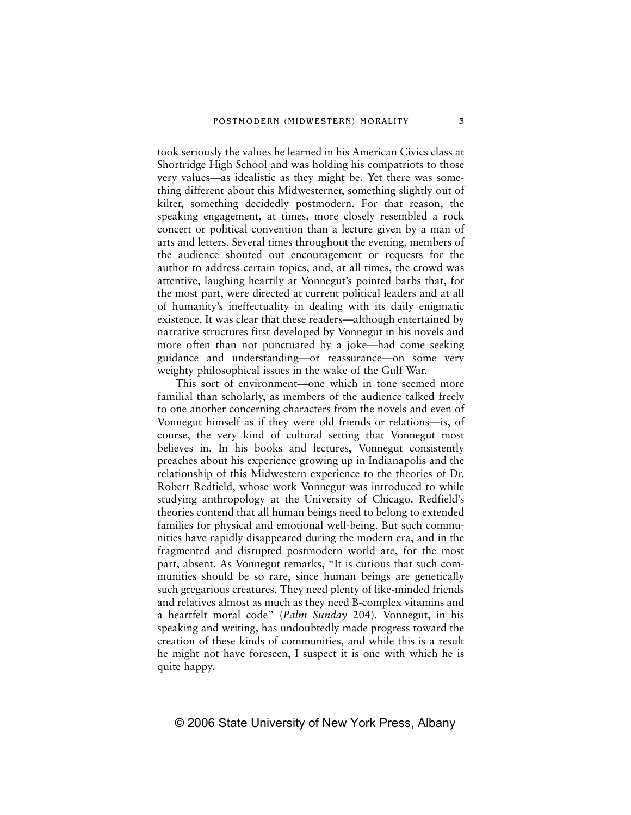took seriously the values he learned in his American Civics class at Shortridge High School and was holding his compatriots to those very values—as idealistic as they might be. Yet there was something different about this Midwesterner, something slightly out of kilter, something decidedly postmodern. For that reason, the speaking engagement, at times, more closely resembled a rock concert or political convention than a lecture given by a man of arts and letters. Several times throughout the evening, members of the audience shouted out encouragement or requests for the author to address certain topics, and, at all times, the crowd was attentive, laughing heartily at Vonnegut's pointed barbs that, for the most part, were directed at current political leaders and at all of humanity's ineffectuality in dealing with its daily enigmatic existence. It was clear that these readers—although entertained by narrative structures first developed by Vonnegut in his novels and more often than not punctuated by a joke—had come seeking guidance and understanding—or reassurance—on some very weighty philosophical issues in the wake of the Gulf War.

This sort of environment—one which in tone seemed more familial than scholarly, as members of the audience talked freely to one another concerning characters from the novels and even of Vonnegut himself as if they were old friends or relations—is, of course, the very kind of cultural setting that Vonnegut most believes in. In his books and lectures, Vonnegut consistently preaches about his experience growing up in Indianapolis and the relationship of this Midwestern experience to the theories of Dr. Robert Redfield, whose work Vonnegut was introduced to while studying anthropology at the University of Chicago. Redfield's theories contend that all human beings need to belong to extended families for physical and emotional well-being. But such communities have rapidly disappeared during the modern era, and in the fragmented and disrupted postmodern world are, for the most part, absent. As Vonnegut remarks, "It is curious that such communities should be so rare, since human beings are genetically such gregarious creatures. They need plenty of like-minded friends and relatives almost as much as they need B-complex vitamins and a heartfelt moral code" (*Palm Sunday* 204). Vonnegut, in his speaking and writing, has undoubtedly made progress toward the creation of these kinds of communities, and while this is a result he might not have foreseen, I suspect it is one with which he is quite happy.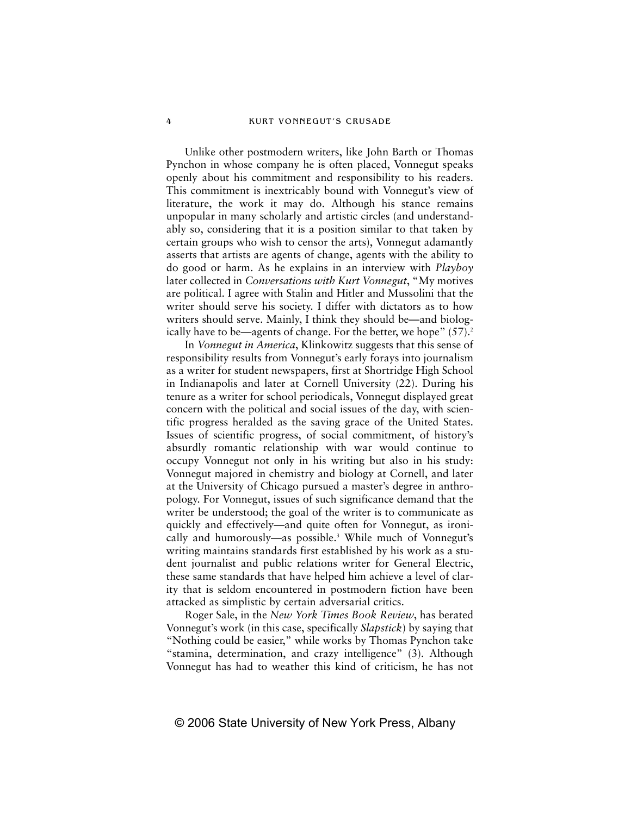Unlike other postmodern writers, like John Barth or Thomas Pynchon in whose company he is often placed, Vonnegut speaks openly about his commitment and responsibility to his readers. This commitment is inextricably bound with Vonnegut's view of literature, the work it may do. Although his stance remains unpopular in many scholarly and artistic circles (and understandably so, considering that it is a position similar to that taken by certain groups who wish to censor the arts), Vonnegut adamantly asserts that artists are agents of change, agents with the ability to do good or harm. As he explains in an interview with *Playboy* later collected in *Conversations with Kurt Vonnegut*, "My motives are political. I agree with Stalin and Hitler and Mussolini that the writer should serve his society. I differ with dictators as to how writers should serve. Mainly, I think they should be—and biologically have to be—agents of change. For the better, we hope" (57). 2

In *Vonnegut in America*, Klinkowitz suggests that this sense of responsibility results from Vonnegut's early forays into journalism as a writer for student newspapers, first at Shortridge High School in Indianapolis and later at Cornell University (22). During his tenure as a writer for school periodicals, Vonnegut displayed great concern with the political and social issues of the day, with scientific progress heralded as the saving grace of the United States. Issues of scientific progress, of social commitment, of history's absurdly romantic relationship with war would continue to occupy Vonnegut not only in his writing but also in his study: Vonnegut majored in chemistry and biology at Cornell, and later at the University of Chicago pursued a master's degree in anthropology. For Vonnegut, issues of such significance demand that the writer be understood; the goal of the writer is to communicate as quickly and effectively—and quite often for Vonnegut, as ironically and humorously—as possible. <sup>3</sup> While much of Vonnegut's writing maintains standards first established by his work as a student journalist and public relations writer for General Electric, these same standards that have helped him achieve a level of clarity that is seldom encountered in postmodern fiction have been attacked as simplistic by certain adversarial critics.

Roger Sale, in the *New York Times Book Review*, has berated Vonnegut's work (in this case, specifically *Slapstick*) by saying that "Nothing could be easier," while works by Thomas Pynchon take "stamina, determination, and crazy intelligence" (3). Although Vonnegut has had to weather this kind of criticism, he has not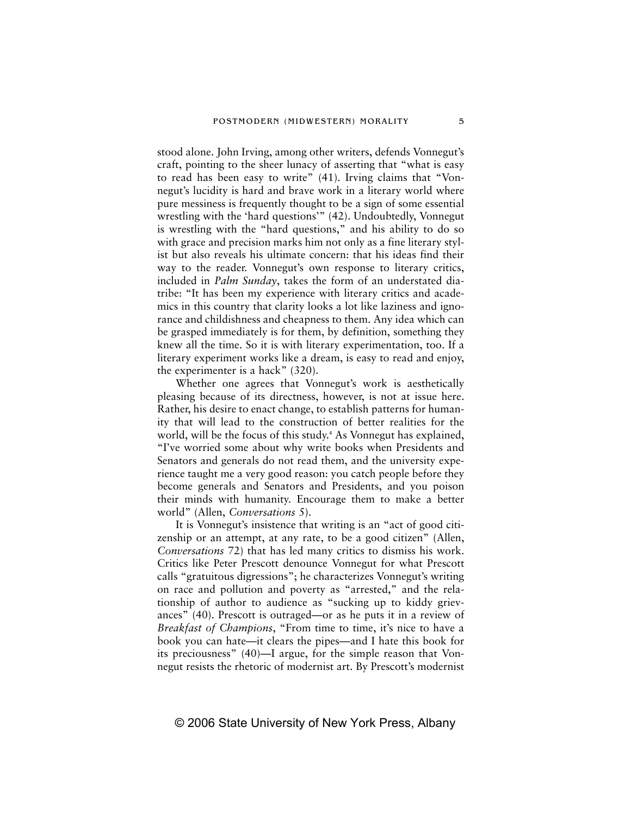stood alone. John Irving, among other writers, defends Vonnegut's craft, pointing to the sheer lunacy of asserting that "what is easy to read has been easy to write" (41). Irving claims that "Vonnegut's lucidity is hard and brave work in a literary world where pure messiness is frequently thought to be a sign of some essential wrestling with the 'hard questions'" (42). Undoubtedly, Vonnegut is wrestling with the "hard questions," and his ability to do so with grace and precision marks him not only as a fine literary stylist but also reveals his ultimate concern: that his ideas find their way to the reader. Vonnegut's own response to literary critics, included in *Palm Sunday*, takes the form of an understated diatribe: "It has been my experience with literary critics and academics in this country that clarity looks a lot like laziness and ignorance and childishness and cheapness to them. Any idea which can be grasped immediately is for them, by definition, something they knew all the time. So it is with literary experimentation, too. If a literary experiment works like a dream, is easy to read and enjoy, the experimenter is a hack" (320).

Whether one agrees that Vonnegut's work is aesthetically pleasing because of its directness, however, is not at issue here. Rather, his desire to enact change, to establish patterns for humanity that will lead to the construction of better realities for the world, will be the focus of this study. <sup>4</sup> As Vonnegut has explained, "I've worried some about why write books when Presidents and Senators and generals do not read them, and the university experience taught me a very good reason: you catch people before they become generals and Senators and Presidents, and you poison their minds with humanity. Encourage them to make a better world" (Allen, *Conversations* 5).

It is Vonnegut's insistence that writing is an "act of good citizenship or an attempt, at any rate, to be a good citizen" (Allen, *Conversations* 72) that has led many critics to dismiss his work. Critics like Peter Prescott denounce Vonnegut for what Prescott calls "gratuitous digressions"; he characterizes Vonnegut's writing on race and pollution and poverty as "arrested," and the relationship of author to audience as "sucking up to kiddy grievances" (40). Prescott is outraged—or as he puts it in a review of *Breakfast of Champions*, "From time to time, it's nice to have a book you can hate—it clears the pipes—and I hate this book for its preciousness" (40)—I argue, for the simple reason that Vonnegut resists the rhetoric of modernist art. By Prescott's modernist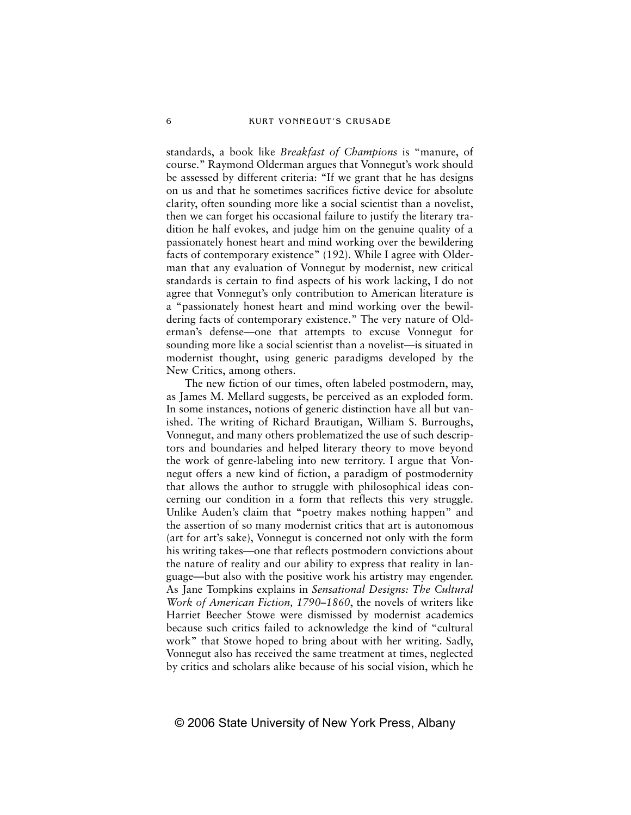standards, a book like *Breakfast of Champions* is "manure, of course." Raymond Olderman argues that Vonnegut's work should be assessed by different criteria: "If we grant that he has designs on us and that he sometimes sacrifices fictive device for absolute clarity, often sounding more like a social scientist than a novelist, then we can forget his occasional failure to justify the literary tradition he half evokes, and judge him on the genuine quality of a passionately honest heart and mind working over the bewildering facts of contemporary existence" (192). While I agree with Olderman that any evaluation of Vonnegut by modernist, new critical standards is certain to find aspects of his work lacking, I do not agree that Vonnegut's only contribution to American literature is a "passionately honest heart and mind working over the bewildering facts of contemporary existence." The very nature of Olderman's defense—one that attempts to excuse Vonnegut for sounding more like a social scientist than a novelist—is situated in modernist thought, using generic paradigms developed by the New Critics, among others.

The new fiction of our times, often labeled postmodern, may, as James M. Mellard suggests, be perceived as an exploded form. In some instances, notions of generic distinction have all but vanished. The writing of Richard Brautigan, William S. Burroughs, Vonnegut, and many others problematized the use of such descriptors and boundaries and helped literary theory to move beyond the work of genre-labeling into new territory. I argue that Vonnegut offers a new kind of fiction, a paradigm of postmodernity that allows the author to struggle with philosophical ideas concerning our condition in a form that reflects this very struggle. Unlike Auden's claim that "poetry makes nothing happen" and the assertion of so many modernist critics that art is autonomous (art for art's sake), Vonnegut is concerned not only with the form his writing takes—one that reflects postmodern convictions about the nature of reality and our ability to express that reality in language—but also with the positive work his artistry may engender. As Jane Tompkins explains in *Sensational Designs: The Cultural Work of American Fiction, 1790–1860*, the novels of writers like Harriet Beecher Stowe were dismissed by modernist academics because such critics failed to acknowledge the kind of "cultural work" that Stowe hoped to bring about with her writing. Sadly, Vonnegut also has received the same treatment at times, neglected by critics and scholars alike because of his social vision, which he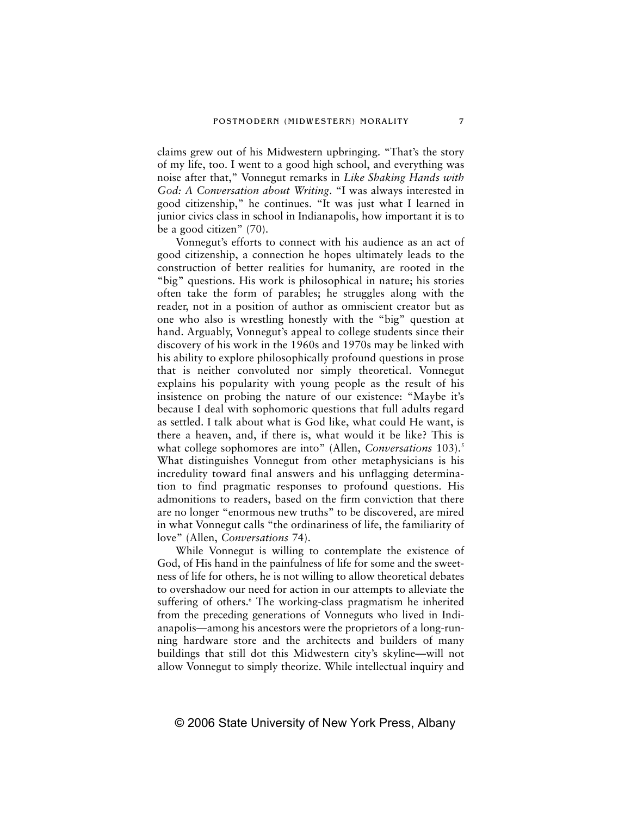claims grew out of his Midwestern upbringing. "That's the story of my life, too. I went to a good high school, and everything was noise after that," Vonnegut remarks in *Like Shaking Hands with God: A Conversation about Writing*. "I was always interested in good citizenship," he continues. "It was just what I learned in junior civics class in school in Indianapolis, how important it is to be a good citizen" (70).

Vonnegut's efforts to connect with his audience as an act of good citizenship, a connection he hopes ultimately leads to the construction of better realities for humanity, are rooted in the "big" questions. His work is philosophical in nature; his stories often take the form of parables; he struggles along with the reader, not in a position of author as omniscient creator but as one who also is wrestling honestly with the "big" question at hand. Arguably, Vonnegut's appeal to college students since their discovery of his work in the 1960s and 1970s may be linked with his ability to explore philosophically profound questions in prose that is neither convoluted nor simply theoretical. Vonnegut explains his popularity with young people as the result of his insistence on probing the nature of our existence: "Maybe it's because I deal with sophomoric questions that full adults regard as settled. I talk about what is God like, what could He want, is there a heaven, and, if there is, what would it be like? This is what college sophomores are into" (Allen, *Conversations* 103). 5 What distinguishes Vonnegut from other metaphysicians is his incredulity toward final answers and his unflagging determination to find pragmatic responses to profound questions. His admonitions to readers, based on the firm conviction that there are no longer "enormous new truths" to be discovered, are mired in what Vonnegut calls "the ordinariness of life, the familiarity of love" (Allen, *Conversations* 74).

While Vonnegut is willing to contemplate the existence of God, of His hand in the painfulness of life for some and the sweetness of life for others, he is not willing to allow theoretical debates to overshadow our need for action in our attempts to alleviate the suffering of others. <sup>6</sup> The working-class pragmatism he inherited from the preceding generations of Vonneguts who lived in Indianapolis—among his ancestors were the proprietors of a long-running hardware store and the architects and builders of many buildings that still dot this Midwestern city's skyline—will not allow Vonnegut to simply theorize. While intellectual inquiry and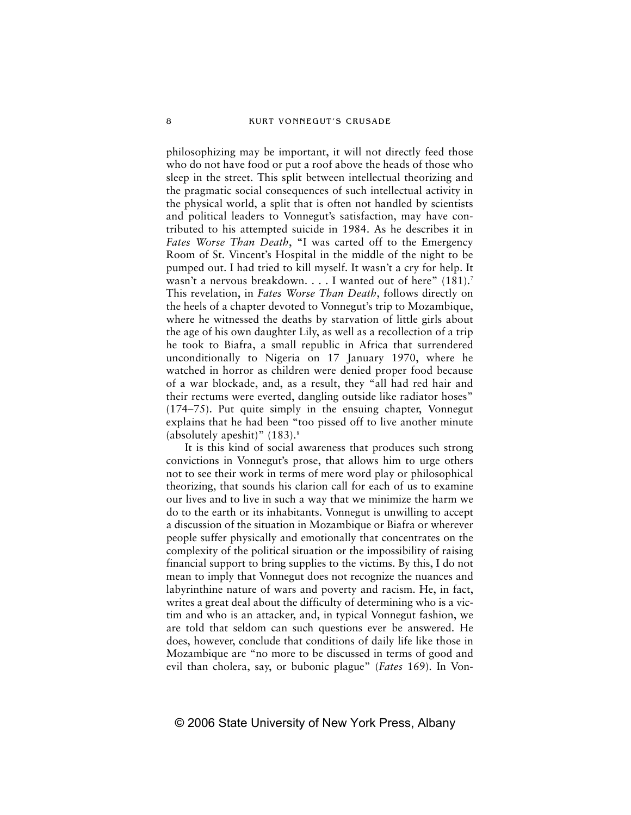philosophizing may be important, it will not directly feed those who do not have food or put a roof above the heads of those who sleep in the street. This split between intellectual theorizing and the pragmatic social consequences of such intellectual activity in the physical world, a split that is often not handled by scientists and political leaders to Vonnegut's satisfaction, may have contributed to his attempted suicide in 1984. As he describes it in *Fates Worse Than Death*, "I was carted off to the Emergency Room of St. Vincent's Hospital in the middle of the night to be pumped out. I had tried to kill myself. It wasn't a cry for help. It wasn't a nervous breakdown.... I wanted out of here" (181). 7 This revelation, in *Fates Worse Than Death*, follows directly on the heels of a chapter devoted to Vonnegut's trip to Mozambique, where he witnessed the deaths by starvation of little girls about the age of his own daughter Lily, as well as a recollection of a trip he took to Biafra, a small republic in Africa that surrendered unconditionally to Nigeria on 17 January 1970, where he watched in horror as children were denied proper food because of a war blockade, and, as a result, they "all had red hair and their rectums were everted, dangling outside like radiator hoses" (174–75). Put quite simply in the ensuing chapter, Vonnegut explains that he had been "too pissed off to live another minute (absolutely apeshit)" (183). 8

It is this kind of social awareness that produces such strong convictions in Vonnegut's prose, that allows him to urge others not to see their work in terms of mere word play or philosophical theorizing, that sounds his clarion call for each of us to examine our lives and to live in such a way that we minimize the harm we do to the earth or its inhabitants. Vonnegut is unwilling to accept a discussion of the situation in Mozambique or Biafra or wherever people suffer physically and emotionally that concentrates on the complexity of the political situation or the impossibility of raising financial support to bring supplies to the victims. By this, I do not mean to imply that Vonnegut does not recognize the nuances and labyrinthine nature of wars and poverty and racism. He, in fact, writes a great deal about the difficulty of determining who is a victim and who is an attacker, and, in typical Vonnegut fashion, we are told that seldom can such questions ever be answered. He does, however, conclude that conditions of daily life like those in Mozambique are "no more to be discussed in terms of good and evil than cholera, say, or bubonic plague" (*Fates* 169). In Von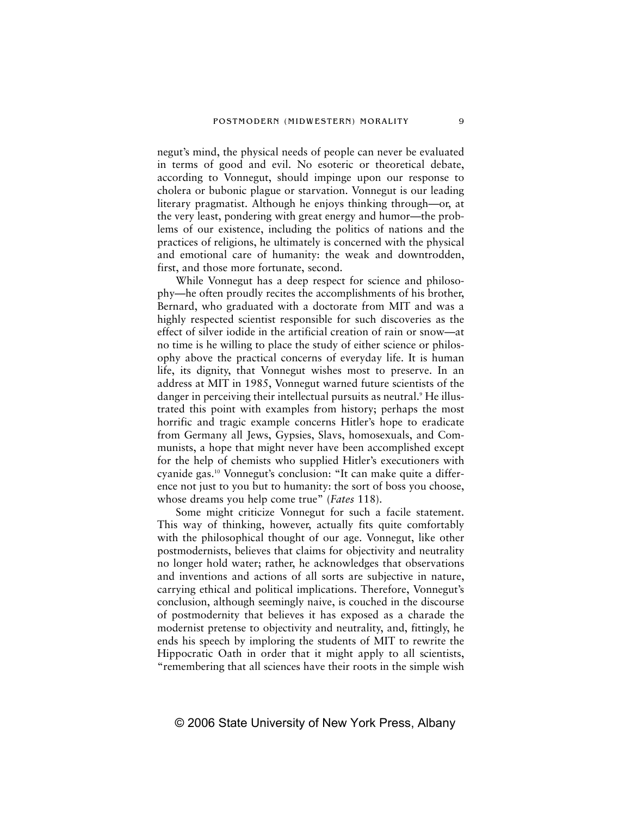negut's mind, the physical needs of people can never be evaluated in terms of good and evil. No esoteric or theoretical debate, according to Vonnegut, should impinge upon our response to cholera or bubonic plague or starvation. Vonnegut is our leading literary pragmatist. Although he enjoys thinking through—or, at the very least, pondering with great energy and humor—the problems of our existence, including the politics of nations and the practices of religions, he ultimately is concerned with the physical and emotional care of humanity: the weak and downtrodden, first, and those more fortunate, second.

While Vonnegut has a deep respect for science and philosophy—he often proudly recites the accomplishments of his brother, Bernard, who graduated with a doctorate from MIT and was a highly respected scientist responsible for such discoveries as the effect of silver iodide in the artificial creation of rain or snow—at no time is he willing to place the study of either science or philosophy above the practical concerns of everyday life. It is human life, its dignity, that Vonnegut wishes most to preserve. In an address at MIT in 1985, Vonnegut warned future scientists of the danger in perceiving their intellectual pursuits as neutral. <sup>9</sup> He illustrated this point with examples from history; perhaps the most horrific and tragic example concerns Hitler's hope to eradicate from Germany all Jews, Gypsies, Slavs, homosexuals, and Communists, a hope that might never have been accomplished except for the help of chemists who supplied Hitler's executioners with cyanide gas. <sup>10</sup> Vonnegut's conclusion: "It can make quite a difference not just to you but to humanity: the sort of boss you choose, whose dreams you help come true" (*Fates* 118).

Some might criticize Vonnegut for such a facile statement. This way of thinking, however, actually fits quite comfortably with the philosophical thought of our age. Vonnegut, like other postmodernists, believes that claims for objectivity and neutrality no longer hold water; rather, he acknowledges that observations and inventions and actions of all sorts are subjective in nature, carrying ethical and political implications. Therefore, Vonnegut's conclusion, although seemingly naive, is couched in the discourse of postmodernity that believes it has exposed as a charade the modernist pretense to objectivity and neutrality, and, fittingly, he ends his speech by imploring the students of MIT to rewrite the Hippocratic Oath in order that it might apply to all scientists, "remembering that all sciences have their roots in the simple wish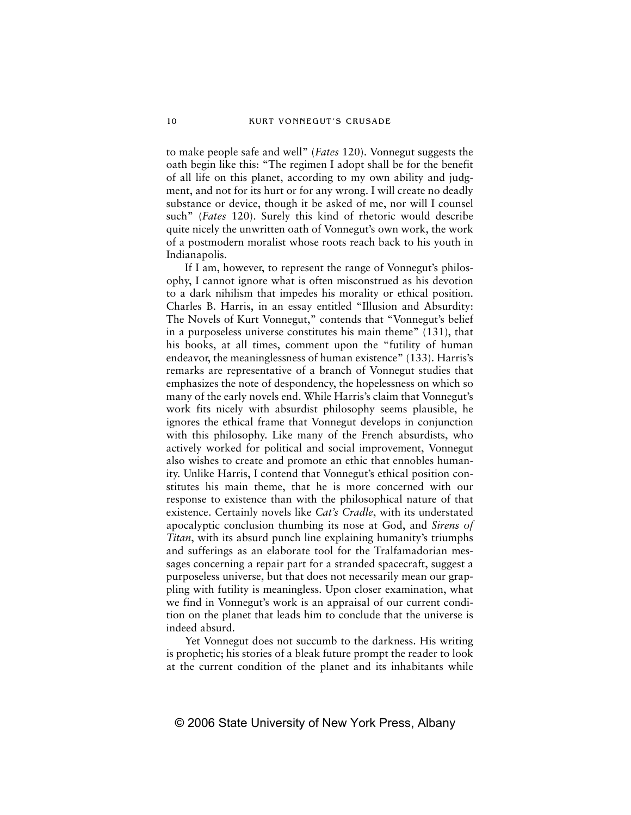to make people safe and well" (*Fates* 120). Vonnegut suggests the oath begin like this: "The regimen I adopt shall be for the benefit of all life on this planet, according to my own ability and judgment, and not for its hurt or for any wrong. I will create no deadly substance or device, though it be asked of me, nor will I counsel such" (*Fates* 120). Surely this kind of rhetoric would describe quite nicely the unwritten oath of Vonnegut's own work, the work of a postmodern moralist whose roots reach back to his youth in Indianapolis.

If I am, however, to represent the range of Vonnegut's philosophy, I cannot ignore what is often misconstrued as his devotion to a dark nihilism that impedes his morality or ethical position. Charles B. Harris, in an essay entitled "Illusion and Absurdity: The Novels of Kurt Vonnegut," contends that "Vonnegut's belief in a purposeless universe constitutes his main theme" (131), that his books, at all times, comment upon the "futility of human endeavor, the meaninglessness of human existence" (133). Harris's remarks are representative of a branch of Vonnegut studies that emphasizes the note of despondency, the hopelessness on which so many of the early novels end. While Harris's claim that Vonnegut's work fits nicely with absurdist philosophy seems plausible, he ignores the ethical frame that Vonnegut develops in conjunction with this philosophy. Like many of the French absurdists, who actively worked for political and social improvement, Vonnegut also wishes to create and promote an ethic that ennobles humanity. Unlike Harris, I contend that Vonnegut's ethical position constitutes his main theme, that he is more concerned with our response to existence than with the philosophical nature of that existence. Certainly novels like *Cat's Cradle*, with its understated apocalyptic conclusion thumbing its nose at God, and *Sirens of Titan*, with its absurd punch line explaining humanity's triumphs and sufferings as an elaborate tool for the Tralfamadorian messages concerning a repair part for a stranded spacecraft, suggest a purposeless universe, but that does not necessarily mean our grappling with futility is meaningless. Upon closer examination, what we find in Vonnegut's work is an appraisal of our current condition on the planet that leads him to conclude that the universe is indeed absurd.

Yet Vonnegut does not succumb to the darkness. His writing is prophetic; his stories of a bleak future prompt the reader to look at the current condition of the planet and its inhabitants while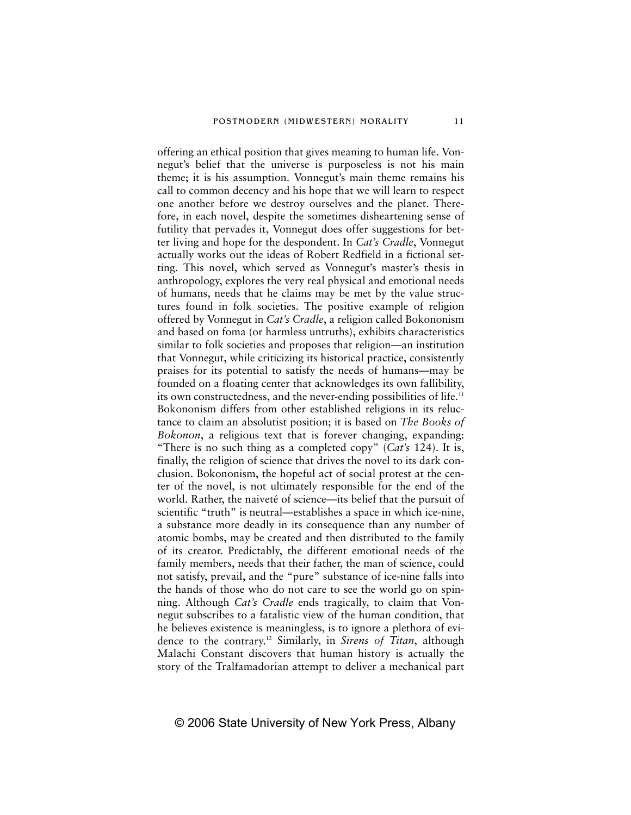offering an ethical position that gives meaning to human life. Vonnegut's belief that the universe is purposeless is not his main theme; it is his assumption. Vonnegut's main theme remains his call to common decency and his hope that we will learn to respect one another before we destroy ourselves and the planet. Therefore, in each novel, despite the sometimes disheartening sense of futility that pervades it, Vonnegut does offer suggestions for better living and hope for the despondent. In *Cat's Cradle*, Vonnegut actually works out the ideas of Robert Redfield in a fictional setting. This novel, which served as Vonnegut's master's thesis in anthropology, explores the very real physical and emotional needs of humans, needs that he claims may be met by the value structures found in folk societies. The positive example of religion offered by Vonnegut in *Cat's Cradle*, a religion called Bokononism and based on foma (or harmless untruths), exhibits characteristics similar to folk societies and proposes that religion—an institution that Vonnegut, while criticizing its historical practice, consistently praises for its potential to satisfy the needs of humans—may be founded on a floating center that acknowledges its own fallibility, its own constructedness, and the never-ending possibilities of life.<sup>11</sup> Bokononism differs from other established religions in its reluctance to claim an absolutist position; it is based on *The Books of Bokonon*, a religious text that is forever changing, expanding: "There is no such thing as a completed copy" (*Cat's* 124). It is, finally, the religion of science that drives the novel to its dark conclusion. Bokononism, the hopeful act of social protest at the center of the novel, is not ultimately responsible for the end of the world. Rather, the naiveté of science—its belief that the pursuit of scientific "truth" is neutral—establishes a space in which ice-nine, a substance more deadly in its consequence than any number of atomic bombs, may be created and then distributed to the family of its creator. Predictably, the different emotional needs of the family members, needs that their father, the man of science, could not satisfy, prevail, and the "pure" substance of ice-nine falls into the hands of those who do not care to see the world go on spinning. Although *Cat's Cradle* ends tragically, to claim that Vonnegut subscribes to a fatalistic view of the human condition, that he believes existence is meaningless, is to ignore a plethora of evidence to the contrary. <sup>12</sup> Similarly, in *Sirens of Titan*, although Malachi Constant discovers that human history is actually the story of the Tralfamadorian attempt to deliver a mechanical part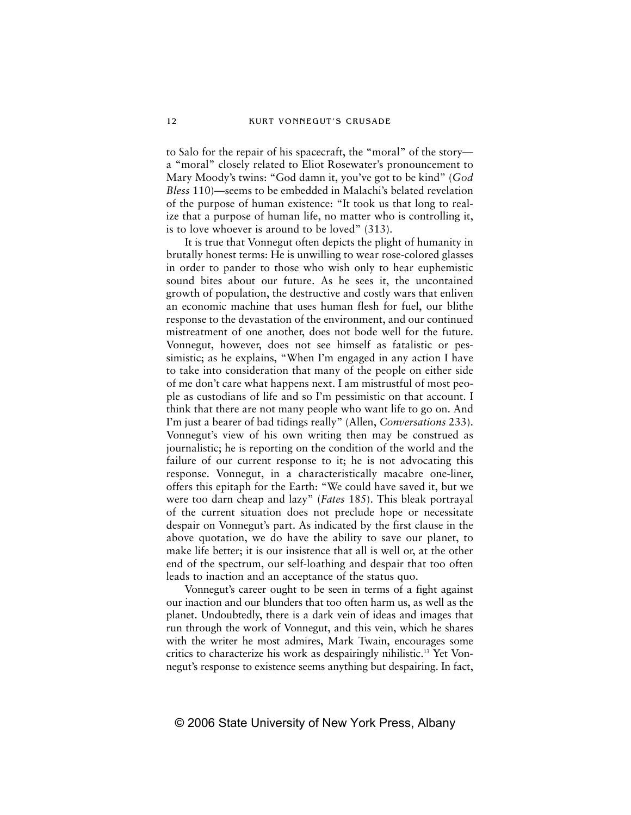to Salo for the repair of his spacecraft, the "moral" of the story a "moral" closely related to Eliot Rosewater's pronouncement to Mary Moody's twins: "God damn it, you've got to be kind" (*God Bless* 110)—seems to be embedded in Malachi's belated revelation of the purpose of human existence: "It took us that long to realize that a purpose of human life, no matter who is controlling it, is to love whoever is around to be loved" (313).

It is true that Vonnegut often depicts the plight of humanity in brutally honest terms: He is unwilling to wear rose-colored glasses in order to pander to those who wish only to hear euphemistic sound bites about our future. As he sees it, the uncontained growth of population, the destructive and costly wars that enliven an economic machine that uses human flesh for fuel, our blithe response to the devastation of the environment, and our continued mistreatment of one another, does not bode well for the future. Vonnegut, however, does not see himself as fatalistic or pessimistic; as he explains, "When I'm engaged in any action I have to take into consideration that many of the people on either side of me don't care what happens next. I am mistrustful of most people as custodians of life and so I'm pessimistic on that account. I think that there are not many people who want life to go on. And I'm just a bearer of bad tidings really" (Allen, *Conversations* 233). Vonnegut's view of his own writing then may be construed as journalistic; he is reporting on the condition of the world and the failure of our current response to it; he is not advocating this response. Vonnegut, in a characteristically macabre one-liner, offers this epitaph for the Earth: "We could have saved it, but we were too darn cheap and lazy" (*Fates* 185). This bleak portrayal of the current situation does not preclude hope or necessitate despair on Vonnegut's part. As indicated by the first clause in the above quotation, we do have the ability to save our planet, to make life better; it is our insistence that all is well or, at the other end of the spectrum, our self-loathing and despair that too often leads to inaction and an acceptance of the status quo.

Vonnegut's career ought to be seen in terms of a fight against our inaction and our blunders that too often harm us, as well as the planet. Undoubtedly, there is a dark vein of ideas and images that run through the work of Vonnegut, and this vein, which he shares with the writer he most admires, Mark Twain, encourages some critics to characterize his work as despairingly nihilistic. <sup>13</sup> Yet Vonnegut's response to existence seems anything but despairing. In fact,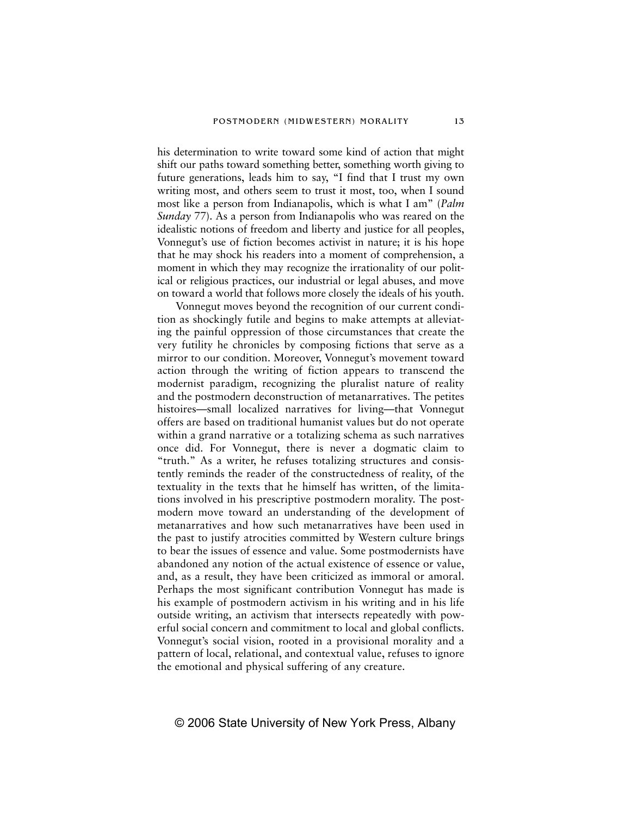his determination to write toward some kind of action that might shift our paths toward something better, something worth giving to future generations, leads him to say, "I find that I trust my own writing most, and others seem to trust it most, too, when I sound most like a person from Indianapolis, which is what I am" (*Palm Sunday* 77). As a person from Indianapolis who was reared on the idealistic notions of freedom and liberty and justice for all peoples, Vonnegut's use of fiction becomes activist in nature; it is his hope that he may shock his readers into a moment of comprehension, a moment in which they may recognize the irrationality of our political or religious practices, our industrial or legal abuses, and move on toward a world that follows more closely the ideals of his youth.

Vonnegut moves beyond the recognition of our current condition as shockingly futile and begins to make attempts at alleviating the painful oppression of those circumstances that create the very futility he chronicles by composing fictions that serve as a mirror to our condition. Moreover, Vonnegut's movement toward action through the writing of fiction appears to transcend the modernist paradigm, recognizing the pluralist nature of reality and the postmodern deconstruction of metanarratives. The petites histoires—small localized narratives for living—that Vonnegut offers are based on traditional humanist values but do not operate within a grand narrative or a totalizing schema as such narratives once did. For Vonnegut, there is never a dogmatic claim to "truth." As a writer, he refuses totalizing structures and consistently reminds the reader of the constructedness of reality, of the textuality in the texts that he himself has written, of the limitations involved in his prescriptive postmodern morality. The postmodern move toward an understanding of the development of metanarratives and how such metanarratives have been used in the past to justify atrocities committed by Western culture brings to bear the issues of essence and value. Some postmodernists have abandoned any notion of the actual existence of essence or value, and, as a result, they have been criticized as immoral or amoral. Perhaps the most significant contribution Vonnegut has made is his example of postmodern activism in his writing and in his life outside writing, an activism that intersects repeatedly with powerful social concern and commitment to local and global conflicts. Vonnegut's social vision, rooted in a provisional morality and a pattern of local, relational, and contextual value, refuses to ignore the emotional and physical suffering of any creature.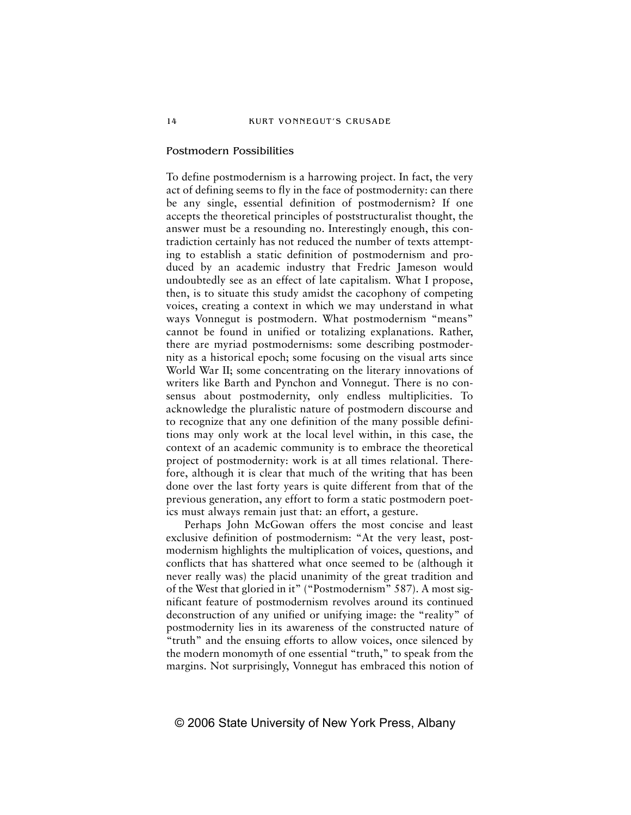#### Postmodern Possibilities

To define postmodernism is a harrowing project. In fact, the very act of defining seems to fly in the face of postmodernity: can there be any single, essential definition of postmodernism? If one accepts the theoretical principles of poststructuralist thought, the answer must be a resounding no. Interestingly enough, this contradiction certainly has not reduced the number of texts attempting to establish a static definition of postmodernism and produced by an academic industry that Fredric Jameson would undoubtedly see as an effect of late capitalism. What I propose, then, is to situate this study amidst the cacophony of competing voices, creating a context in which we may understand in what ways Vonnegut is postmodern. What postmodernism "means" cannot be found in unified or totalizing explanations. Rather, there are myriad postmodernisms: some describing postmodernity as a historical epoch; some focusing on the visual arts since World War II; some concentrating on the literary innovations of writers like Barth and Pynchon and Vonnegut. There is no consensus about postmodernity, only endless multiplicities. To acknowledge the pluralistic nature of postmodern discourse and to recognize that any one definition of the many possible definitions may only work at the local level within, in this case, the context of an academic community is to embrace the theoretical project of postmodernity: work is at all times relational. Therefore, although it is clear that much of the writing that has been done over the last forty years is quite different from that of the previous generation, any effort to form a static postmodern poetics must always remain just that: an effort, a gesture.

Perhaps John McGowan offers the most concise and least exclusive definition of postmodernism: "At the very least, postmodernism highlights the multiplication of voices, questions, and conflicts that has shattered what once seemed to be (although it never really was) the placid unanimity of the great tradition and of the West that gloried in it" ("Postmodernism" 587). A most significant feature of postmodernism revolves around its continued deconstruction of any unified or unifying image: the "reality" of postmodernity lies in its awareness of the constructed nature of "truth" and the ensuing efforts to allow voices, once silenced by the modern monomyth of one essential "truth," to speak from the margins. Not surprisingly, Vonnegut has embraced this notion of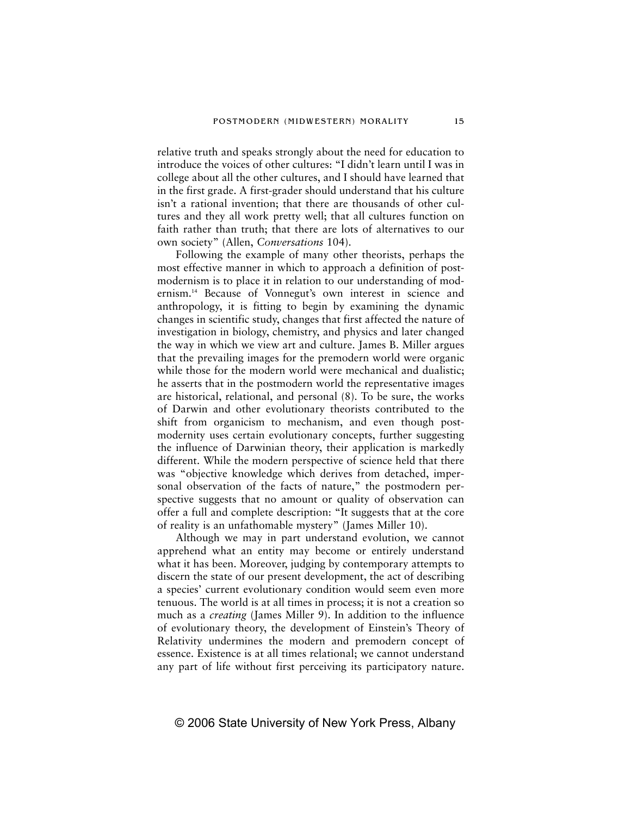relative truth and speaks strongly about the need for education to introduce the voices of other cultures: "I didn't learn until I was in college about all the other cultures, and I should have learned that in the first grade. A first-grader should understand that his culture isn't a rational invention; that there are thousands of other cultures and they all work pretty well; that all cultures function on faith rather than truth; that there are lots of alternatives to our own society" (Allen, *Conversations* 104).

Following the example of many other theorists, perhaps the most effective manner in which to approach a definition of postmodernism is to place it in relation to our understanding of modernism. <sup>14</sup> Because of Vonnegut's own interest in science and anthropology, it is fitting to begin by examining the dynamic changes in scientific study, changes that first affected the nature of investigation in biology, chemistry, and physics and later changed the way in which we view art and culture. James B. Miller argues that the prevailing images for the premodern world were organic while those for the modern world were mechanical and dualistic; he asserts that in the postmodern world the representative images are historical, relational, and personal (8). To be sure, the works of Darwin and other evolutionary theorists contributed to the shift from organicism to mechanism, and even though postmodernity uses certain evolutionary concepts, further suggesting the influence of Darwinian theory, their application is markedly different. While the modern perspective of science held that there was "objective knowledge which derives from detached, impersonal observation of the facts of nature," the postmodern perspective suggests that no amount or quality of observation can offer a full and complete description: "It suggests that at the core of reality is an unfathomable mystery" (James Miller 10).

Although we may in part understand evolution, we cannot apprehend what an entity may become or entirely understand what it has been. Moreover, judging by contemporary attempts to discern the state of our present development, the act of describing a species' current evolutionary condition would seem even more tenuous. The world is at all times in process; it is not a creation so much as a *creating* (James Miller 9). In addition to the influence of evolutionary theory, the development of Einstein's Theory of Relativity undermines the modern and premodern concept of essence. Existence is at all times relational; we cannot understand any part of life without first perceiving its participatory nature.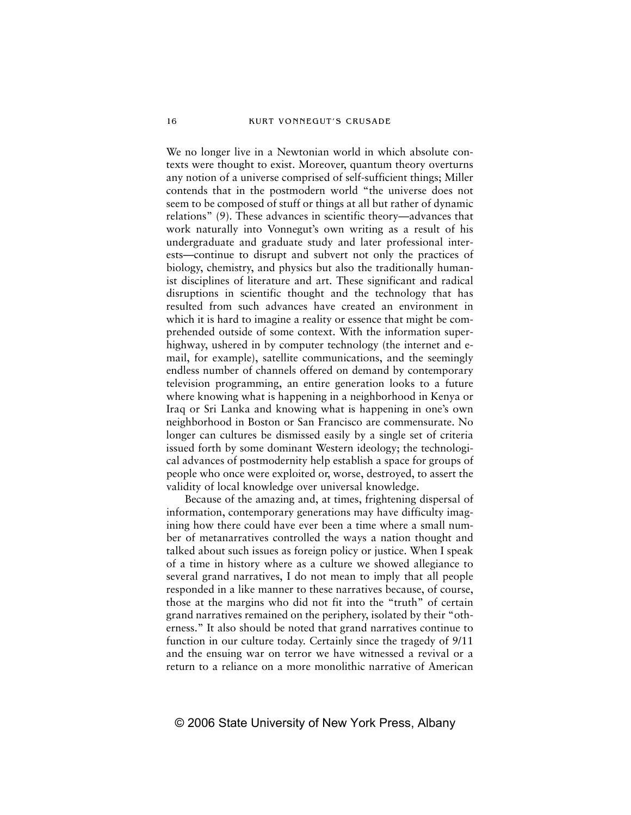We no longer live in a Newtonian world in which absolute contexts were thought to exist. Moreover, quantum theory overturns any notion of a universe comprised of self-sufficient things; Miller contends that in the postmodern world "the universe does not seem to be composed of stuff or things at all but rather of dynamic relations" (9). These advances in scientific theory—advances that work naturally into Vonnegut's own writing as a result of his undergraduate and graduate study and later professional interests—continue to disrupt and subvert not only the practices of biology, chemistry, and physics but also the traditionally humanist disciplines of literature and art. These significant and radical disruptions in scientific thought and the technology that has resulted from such advances have created an environment in which it is hard to imagine a reality or essence that might be comprehended outside of some context. With the information superhighway, ushered in by computer technology (the internet and email, for example), satellite communications, and the seemingly endless number of channels offered on demand by contemporary television programming, an entire generation looks to a future where knowing what is happening in a neighborhood in Kenya or Iraq or Sri Lanka and knowing what is happening in one's own neighborhood in Boston or San Francisco are commensurate. No longer can cultures be dismissed easily by a single set of criteria issued forth by some dominant Western ideology; the technological advances of postmodernity help establish a space for groups of people who once were exploited or, worse, destroyed, to assert the validity of local knowledge over universal knowledge.

Because of the amazing and, at times, frightening dispersal of information, contemporary generations may have difficulty imagining how there could have ever been a time where a small number of metanarratives controlled the ways a nation thought and talked about such issues as foreign policy or justice. When I speak of a time in history where as a culture we showed allegiance to several grand narratives, I do not mean to imply that all people responded in a like manner to these narratives because, of course, those at the margins who did not fit into the "truth" of certain grand narratives remained on the periphery, isolated by their "otherness." It also should be noted that grand narratives continue to function in our culture today. Certainly since the tragedy of 9/11 and the ensuing war on terror we have witnessed a revival or a return to a reliance on a more monolithic narrative of American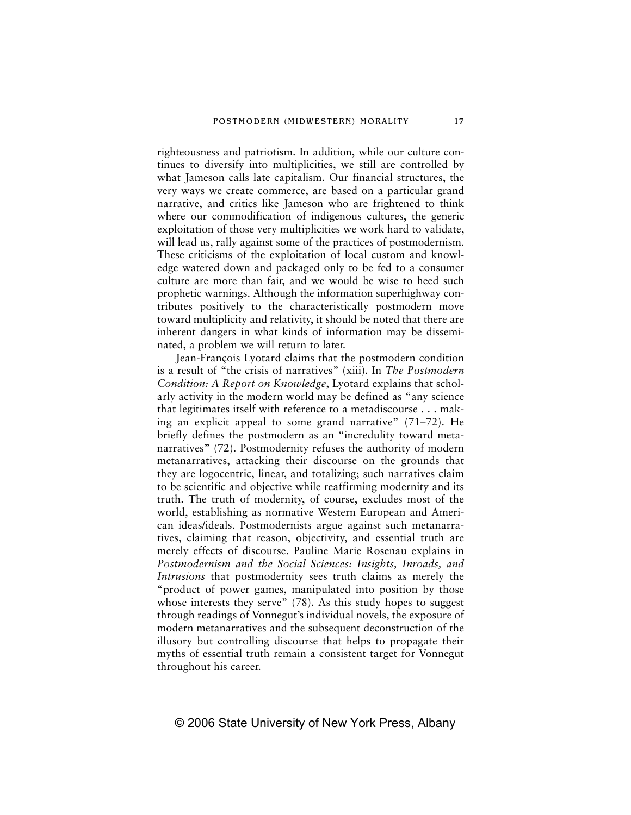righteousness and patriotism. In addition, while our culture continues to diversify into multiplicities, we still are controlled by what Jameson calls late capitalism. Our financial structures, the very ways we create commerce, are based on a particular grand narrative, and critics like Jameson who are frightened to think where our commodification of indigenous cultures, the generic exploitation of those very multiplicities we work hard to validate, will lead us, rally against some of the practices of postmodernism. These criticisms of the exploitation of local custom and knowledge watered down and packaged only to be fed to a consumer culture are more than fair, and we would be wise to heed such prophetic warnings. Although the information superhighway contributes positively to the characteristically postmodern move toward multiplicity and relativity, it should be noted that there are inherent dangers in what kinds of information may be disseminated, a problem we will return to later.

Jean-François Lyotard claims that the postmodern condition is a result of "the crisis of narratives" (xiii). In *The Postmodern Condition: A Report on Knowledge*, Lyotard explains that scholarly activity in the modern world may be defined as "any science that legitimates itself with reference to a metadiscourse ... making an explicit appeal to some grand narrative" (71–72). He briefly defines the postmodern as an "incredulity toward metanarratives" (72). Postmodernity refuses the authority of modern metanarratives, attacking their discourse on the grounds that they are logocentric, linear, and totalizing; such narratives claim to be scientific and objective while reaffirming modernity and its truth. The truth of modernity, of course, excludes most of the world, establishing as normative Western European and American ideas/ideals. Postmodernists argue against such metanarratives, claiming that reason, objectivity, and essential truth are merely effects of discourse. Pauline Marie Rosenau explains in *Postmodernism and the Social Sciences: Insights, Inroads, and Intrusions* that postmodernity sees truth claims as merely the "product of power games, manipulated into position by those whose interests they serve" (78). As this study hopes to suggest through readings of Vonnegut's individual novels, the exposure of modern metanarratives and the subsequent deconstruction of the illusory but controlling discourse that helps to propagate their myths of essential truth remain a consistent target for Vonnegut throughout his career.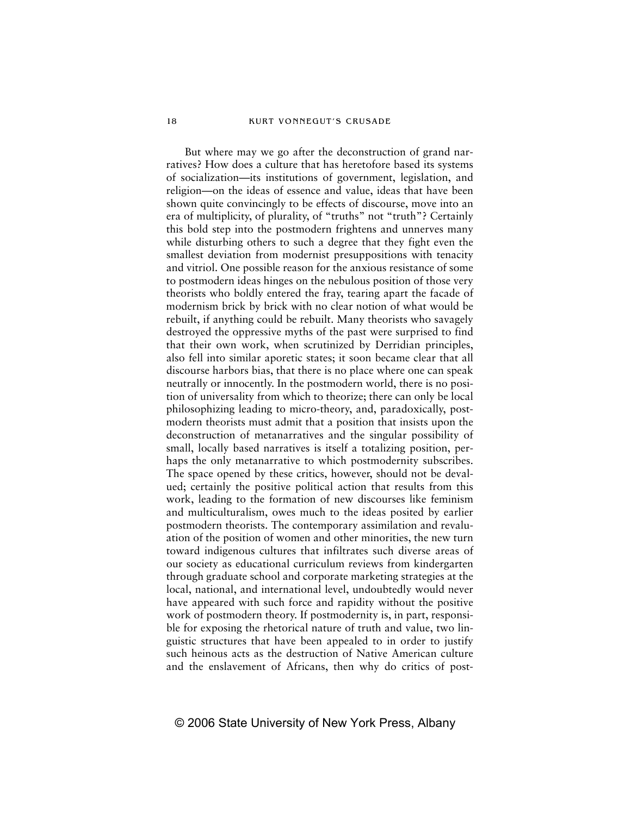But where may we go after the deconstruction of grand narratives? How does a culture that has heretofore based its systems of socialization—its institutions of government, legislation, and religion—on the ideas of essence and value, ideas that have been shown quite convincingly to be effects of discourse, move into an era of multiplicity, of plurality, of "truths" not "truth"? Certainly this bold step into the postmodern frightens and unnerves many while disturbing others to such a degree that they fight even the smallest deviation from modernist presuppositions with tenacity and vitriol. One possible reason for the anxious resistance of some to postmodern ideas hinges on the nebulous position of those very theorists who boldly entered the fray, tearing apart the facade of modernism brick by brick with no clear notion of what would be rebuilt, if anything could be rebuilt. Many theorists who savagely destroyed the oppressive myths of the past were surprised to find that their own work, when scrutinized by Derridian principles, also fell into similar aporetic states; it soon became clear that all discourse harbors bias, that there is no place where one can speak neutrally or innocently. In the postmodern world, there is no position of universality from which to theorize; there can only be local philosophizing leading to micro-theory, and, paradoxically, postmodern theorists must admit that a position that insists upon the deconstruction of metanarratives and the singular possibility of small, locally based narratives is itself a totalizing position, perhaps the only metanarrative to which postmodernity subscribes. The space opened by these critics, however, should not be devalued; certainly the positive political action that results from this work, leading to the formation of new discourses like feminism and multiculturalism, owes much to the ideas posited by earlier postmodern theorists. The contemporary assimilation and revaluation of the position of women and other minorities, the new turn toward indigenous cultures that infiltrates such diverse areas of our society as educational curriculum reviews from kindergarten through graduate school and corporate marketing strategies at the local, national, and international level, undoubtedly would never have appeared with such force and rapidity without the positive work of postmodern theory. If postmodernity is, in part, responsible for exposing the rhetorical nature of truth and value, two linguistic structures that have been appealed to in order to justify such heinous acts as the destruction of Native American culture and the enslavement of Africans, then why do critics of post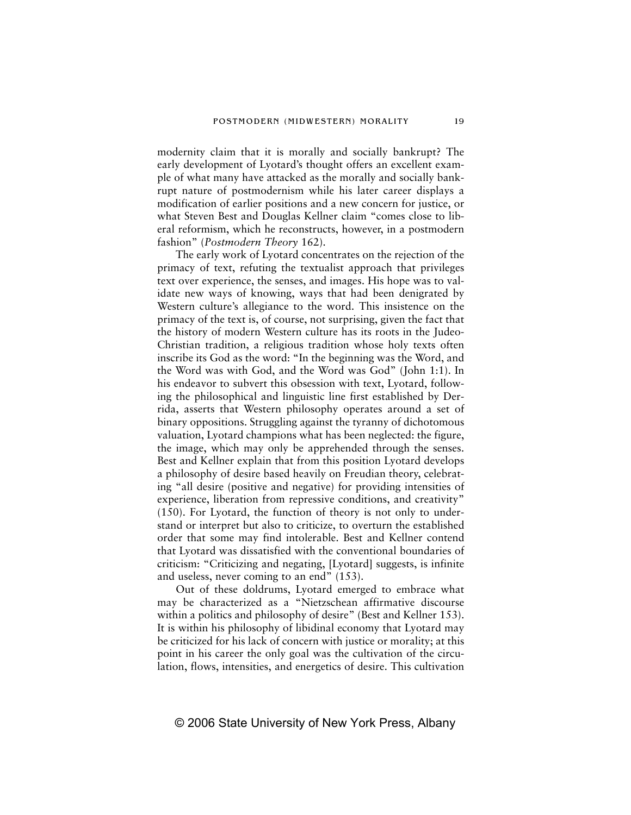modernity claim that it is morally and socially bankrupt? The early development of Lyotard's thought offers an excellent example of what many have attacked as the morally and socially bankrupt nature of postmodernism while his later career displays a modification of earlier positions and a new concern for justice, or what Steven Best and Douglas Kellner claim "comes close to liberal reformism, which he reconstructs, however, in a postmodern fashion" (*Postmodern Theory* 162).

The early work of Lyotard concentrates on the rejection of the primacy of text, refuting the textualist approach that privileges text over experience, the senses, and images. His hope was to validate new ways of knowing, ways that had been denigrated by Western culture's allegiance to the word. This insistence on the primacy of the text is, of course, not surprising, given the fact that the history of modern Western culture has its roots in the Judeo-Christian tradition, a religious tradition whose holy texts often inscribe its God as the word: "In the beginning was the Word, and the Word was with God, and the Word was God" (John 1:1). In his endeavor to subvert this obsession with text, Lyotard, following the philosophical and linguistic line first established by Derrida, asserts that Western philosophy operates around a set of binary oppositions. Struggling against the tyranny of dichotomous valuation, Lyotard champions what has been neglected: the figure, the image, which may only be apprehended through the senses. Best and Kellner explain that from this position Lyotard develops a philosophy of desire based heavily on Freudian theory, celebrating "all desire (positive and negative) for providing intensities of experience, liberation from repressive conditions, and creativity" (150). For Lyotard, the function of theory is not only to understand or interpret but also to criticize, to overturn the established order that some may find intolerable. Best and Kellner contend that Lyotard was dissatisfied with the conventional boundaries of criticism: "Criticizing and negating, [Lyotard] suggests, is infinite and useless, never coming to an end" (153).

Out of these doldrums, Lyotard emerged to embrace what may be characterized as a "Nietzschean affirmative discourse within a politics and philosophy of desire" (Best and Kellner 153). It is within his philosophy of libidinal economy that Lyotard may be criticized for his lack of concern with justice or morality; at this point in his career the only goal was the cultivation of the circulation, flows, intensities, and energetics of desire. This cultivation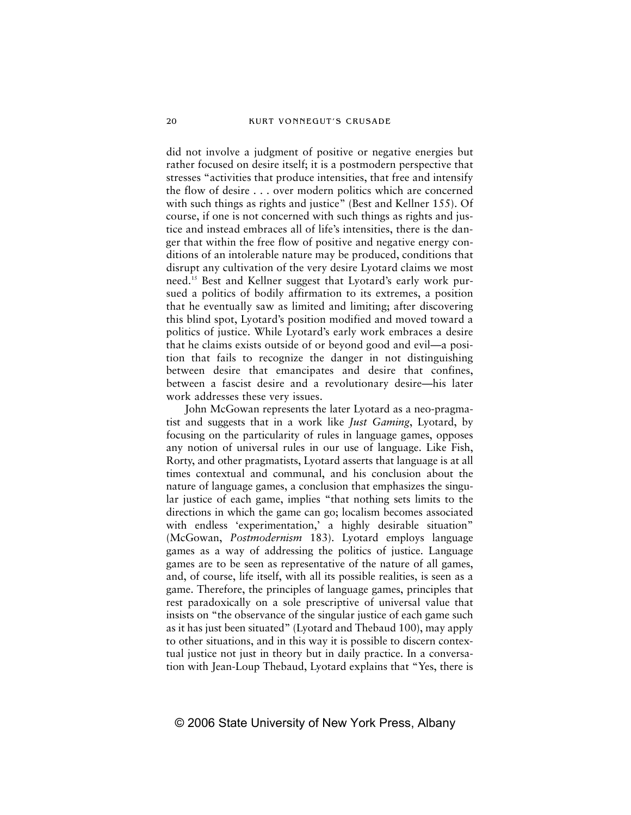did not involve a judgment of positive or negative energies but rather focused on desire itself; it is a postmodern perspective that stresses "activities that produce intensities, that free and intensify the flow of desire ... over modern politics which are concerned with such things as rights and justice" (Best and Kellner 155). Of course, if one is not concerned with such things as rights and justice and instead embraces all of life's intensities, there is the danger that within the free flow of positive and negative energy conditions of an intolerable nature may be produced, conditions that disrupt any cultivation of the very desire Lyotard claims we most need. <sup>15</sup> Best and Kellner suggest that Lyotard's early work pursued a politics of bodily affirmation to its extremes, a position that he eventually saw as limited and limiting; after discovering this blind spot, Lyotard's position modified and moved toward a politics of justice. While Lyotard's early work embraces a desire that he claims exists outside of or beyond good and evil—a position that fails to recognize the danger in not distinguishing between desire that emancipates and desire that confines, between a fascist desire and a revolutionary desire—his later work addresses these very issues.

John McGowan represents the later Lyotard as a neo-pragmatist and suggests that in a work like *Just Gaming*, Lyotard, by focusing on the particularity of rules in language games, opposes any notion of universal rules in our use of language. Like Fish, Rorty, and other pragmatists, Lyotard asserts that language is at all times contextual and communal, and his conclusion about the nature of language games, a conclusion that emphasizes the singular justice of each game, implies "that nothing sets limits to the directions in which the game can go; localism becomes associated with endless 'experimentation,' a highly desirable situation" (McGowan, *Postmodernism* 183). Lyotard employs language games as a way of addressing the politics of justice. Language games are to be seen as representative of the nature of all games, and, of course, life itself, with all its possible realities, is seen as a game. Therefore, the principles of language games, principles that rest paradoxically on a sole prescriptive of universal value that insists on "the observance of the singular justice of each game such as it has just been situated" (Lyotard and Thebaud 100), may apply to other situations, and in this way it is possible to discern contextual justice not just in theory but in daily practice. In a conversation with Jean-Loup Thebaud, Lyotard explains that "Yes, there is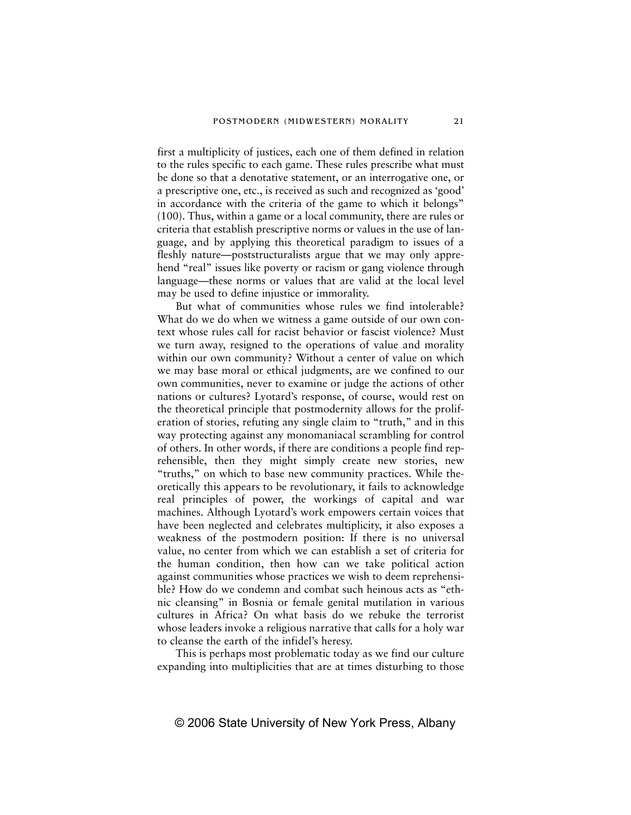first a multiplicity of justices, each one of them defined in relation to the rules specific to each game. These rules prescribe what must be done so that a denotative statement, or an interrogative one, or a prescriptive one, etc., is received as such and recognized as 'good' in accordance with the criteria of the game to which it belongs" (100). Thus, within a game or a local community, there are rules or criteria that establish prescriptive norms or values in the use of language, and by applying this theoretical paradigm to issues of a fleshly nature—poststructuralists argue that we may only apprehend "real" issues like poverty or racism or gang violence through language—these norms or values that are valid at the local level may be used to define injustice or immorality.

But what of communities whose rules we find intolerable? What do we do when we witness a game outside of our own context whose rules call for racist behavior or fascist violence? Must we turn away, resigned to the operations of value and morality within our own community? Without a center of value on which we may base moral or ethical judgments, are we confined to our own communities, never to examine or judge the actions of other nations or cultures? Lyotard's response, of course, would rest on the theoretical principle that postmodernity allows for the proliferation of stories, refuting any single claim to "truth," and in this way protecting against any monomaniacal scrambling for control of others. In other words, if there are conditions a people find reprehensible, then they might simply create new stories, new "truths," on which to base new community practices. While theoretically this appears to be revolutionary, it fails to acknowledge real principles of power, the workings of capital and war machines. Although Lyotard's work empowers certain voices that have been neglected and celebrates multiplicity, it also exposes a weakness of the postmodern position: If there is no universal value, no center from which we can establish a set of criteria for the human condition, then how can we take political action against communities whose practices we wish to deem reprehensible? How do we condemn and combat such heinous acts as "ethnic cleansing" in Bosnia or female genital mutilation in various cultures in Africa? On what basis do we rebuke the terrorist whose leaders invoke a religious narrative that calls for a holy war to cleanse the earth of the infidel's heresy.

This is perhaps most problematic today as we find our culture expanding into multiplicities that are at times disturbing to those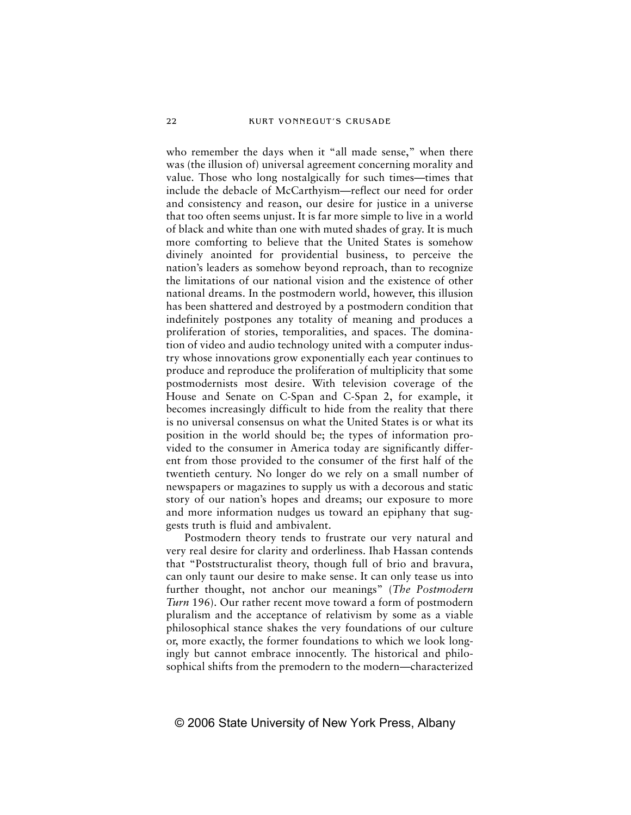who remember the days when it "all made sense," when there was (the illusion of) universal agreement concerning morality and value. Those who long nostalgically for such times—times that include the debacle of McCarthyism—reflect our need for order and consistency and reason, our desire for justice in a universe that too often seems unjust. It is far more simple to live in a world of black and white than one with muted shades of gray. It is much more comforting to believe that the United States is somehow divinely anointed for providential business, to perceive the nation's leaders as somehow beyond reproach, than to recognize the limitations of our national vision and the existence of other national dreams. In the postmodern world, however, this illusion has been shattered and destroyed by a postmodern condition that indefinitely postpones any totality of meaning and produces a proliferation of stories, temporalities, and spaces. The domination of video and audio technology united with a computer industry whose innovations grow exponentially each year continues to produce and reproduce the proliferation of multiplicity that some postmodernists most desire. With television coverage of the House and Senate on C-Span and C-Span 2, for example, it becomes increasingly difficult to hide from the reality that there is no universal consensus on what the United States is or what its position in the world should be; the types of information provided to the consumer in America today are significantly different from those provided to the consumer of the first half of the twentieth century. No longer do we rely on a small number of newspapers or magazines to supply us with a decorous and static story of our nation's hopes and dreams; our exposure to more and more information nudges us toward an epiphany that suggests truth is fluid and ambivalent.

Postmodern theory tends to frustrate our very natural and very real desire for clarity and orderliness. Ihab Hassan contends that "Poststructuralist theory, though full of brio and bravura, can only taunt our desire to make sense. It can only tease us into further thought, not anchor our meanings" (*The Postmodern Turn* 196). Our rather recent move toward a form of postmodern pluralism and the acceptance of relativism by some as a viable philosophical stance shakes the very foundations of our culture or, more exactly, the former foundations to which we look longingly but cannot embrace innocently. The historical and philosophical shifts from the premodern to the modern—characterized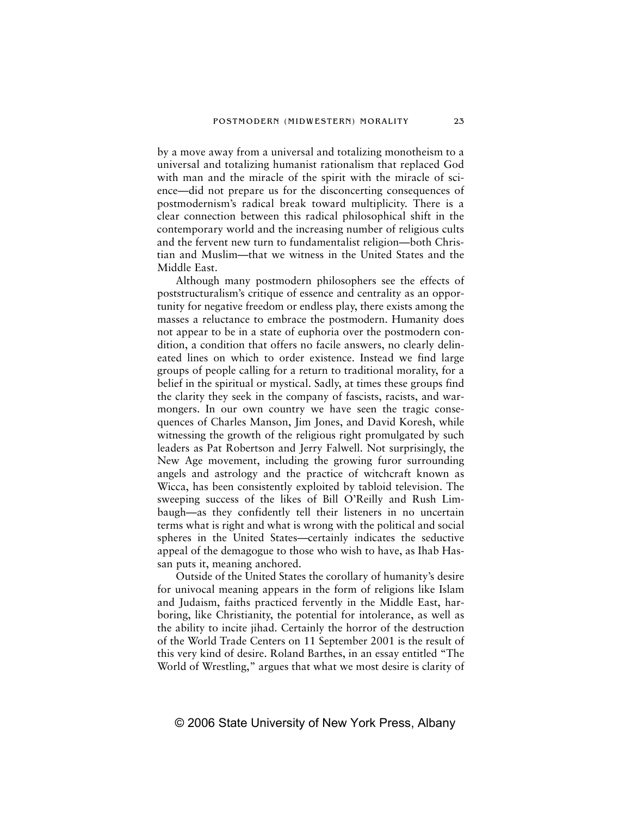by a move away from a universal and totalizing monotheism to a universal and totalizing humanist rationalism that replaced God with man and the miracle of the spirit with the miracle of science—did not prepare us for the disconcerting consequences of postmodernism's radical break toward multiplicity. There is a clear connection between this radical philosophical shift in the contemporary world and the increasing number of religious cults and the fervent new turn to fundamentalist religion—both Christian and Muslim—that we witness in the United States and the Middle East.

Although many postmodern philosophers see the effects of poststructuralism's critique of essence and centrality as an opportunity for negative freedom or endless play, there exists among the masses a reluctance to embrace the postmodern. Humanity does not appear to be in a state of euphoria over the postmodern condition, a condition that offers no facile answers, no clearly delineated lines on which to order existence. Instead we find large groups of people calling for a return to traditional morality, for a belief in the spiritual or mystical. Sadly, at times these groups find the clarity they seek in the company of fascists, racists, and warmongers. In our own country we have seen the tragic consequences of Charles Manson, Jim Jones, and David Koresh, while witnessing the growth of the religious right promulgated by such leaders as Pat Robertson and Jerry Falwell. Not surprisingly, the New Age movement, including the growing furor surrounding angels and astrology and the practice of witchcraft known as Wicca, has been consistently exploited by tabloid television. The sweeping success of the likes of Bill O'Reilly and Rush Limbaugh—as they confidently tell their listeners in no uncertain terms what is right and what is wrong with the political and social spheres in the United States—certainly indicates the seductive appeal of the demagogue to those who wish to have, as Ihab Hassan puts it, meaning anchored.

Outside of the United States the corollary of humanity's desire for univocal meaning appears in the form of religions like Islam and Judaism, faiths practiced fervently in the Middle East, harboring, like Christianity, the potential for intolerance, as well as the ability to incite jihad. Certainly the horror of the destruction of the World Trade Centers on 11 September 2001 is the result of this very kind of desire. Roland Barthes, in an essay entitled "The World of Wrestling," argues that what we most desire is clarity of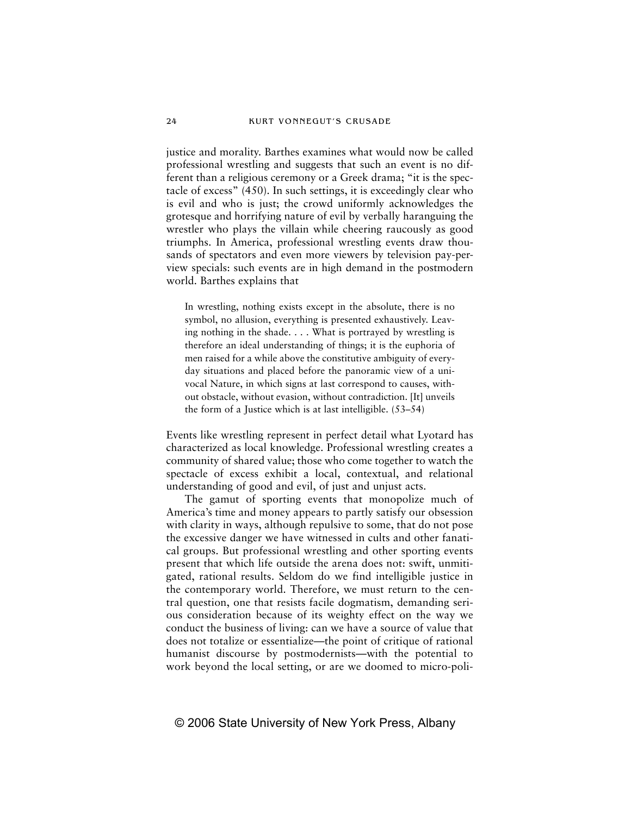justice and morality. Barthes examines what would now be called professional wrestling and suggests that such an event is no different than a religious ceremony or a Greek drama; "it is the spectacle of excess" (450). In such settings, it is exceedingly clear who is evil and who is just; the crowd uniformly acknowledges the grotesque and horrifying nature of evil by verbally haranguing the wrestler who plays the villain while cheering raucously as good triumphs. In America, professional wrestling events draw thousands of spectators and even more viewers by television pay-perview specials: such events are in high demand in the postmodern world. Barthes explains that

In wrestling, nothing exists except in the absolute, there is no symbol, no allusion, everything is presented exhaustively. Leaving nothing in the shade.... What is portrayed by wrestling is therefore an ideal understanding of things; it is the euphoria of men raised for a while above the constitutive ambiguity of everyday situations and placed before the panoramic view of a univocal Nature, in which signs at last correspond to causes, without obstacle, without evasion, without contradiction. [It] unveils the form of a Justice which is at last intelligible. (53–54)

Events like wrestling represent in perfect detail what Lyotard has characterized as local knowledge. Professional wrestling creates a community of shared value; those who come together to watch the spectacle of excess exhibit a local, contextual, and relational understanding of good and evil, of just and unjust acts.

The gamut of sporting events that monopolize much of America's time and money appears to partly satisfy our obsession with clarity in ways, although repulsive to some, that do not pose the excessive danger we have witnessed in cults and other fanatical groups. But professional wrestling and other sporting events present that which life outside the arena does not: swift, unmitigated, rational results. Seldom do we find intelligible justice in the contemporary world. Therefore, we must return to the central question, one that resists facile dogmatism, demanding serious consideration because of its weighty effect on the way we conduct the business of living: can we have a source of value that does not totalize or essentialize—the point of critique of rational humanist discourse by postmodernists—with the potential to work beyond the local setting, or are we doomed to micro-poli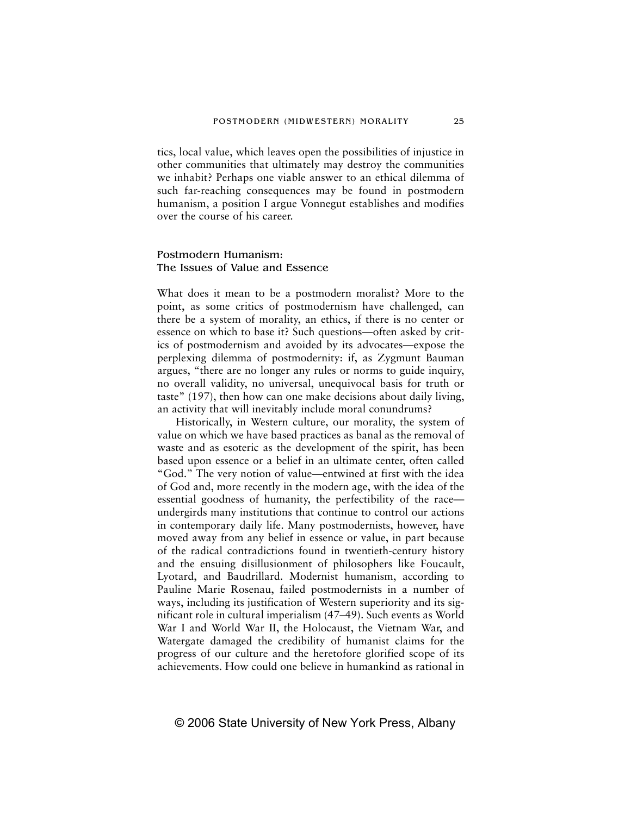tics, local value, which leaves open the possibilities of injustice in other communities that ultimately may destroy the communities we inhabit? Perhaps one viable answer to an ethical dilemma of such far-reaching consequences may be found in postmodern humanism, a position I argue Vonnegut establishes and modifies over the course of his career.

## Postmodern Humanism: The Issues of Value and Essence

What does it mean to be a postmodern moralist? More to the point, as some critics of postmodernism have challenged, can there be a system of morality, an ethics, if there is no center or essence on which to base it? Such questions—often asked by critics of postmodernism and avoided by its advocates—expose the perplexing dilemma of postmodernity: if, as Zygmunt Bauman argues, "there are no longer any rules or norms to guide inquiry, no overall validity, no universal, unequivocal basis for truth or taste" (197), then how can one make decisions about daily living, an activity that will inevitably include moral conundrums?

Historically, in Western culture, our morality, the system of value on which we have based practices as banal as the removal of waste and as esoteric as the development of the spirit, has been based upon essence or a belief in an ultimate center, often called "God." The very notion of value—entwined at first with the idea of God and, more recently in the modern age, with the idea of the essential goodness of humanity, the perfectibility of the race undergirds many institutions that continue to control our actions in contemporary daily life. Many postmodernists, however, have moved away from any belief in essence or value, in part because of the radical contradictions found in twentieth-century history and the ensuing disillusionment of philosophers like Foucault, Lyotard, and Baudrillard. Modernist humanism, according to Pauline Marie Rosenau, failed postmodernists in a number of ways, including its justification of Western superiority and its significant role in cultural imperialism (47–49). Such events as World War I and World War II, the Holocaust, the Vietnam War, and Watergate damaged the credibility of humanist claims for the progress of our culture and the heretofore glorified scope of its achievements. How could one believe in humankind as rational in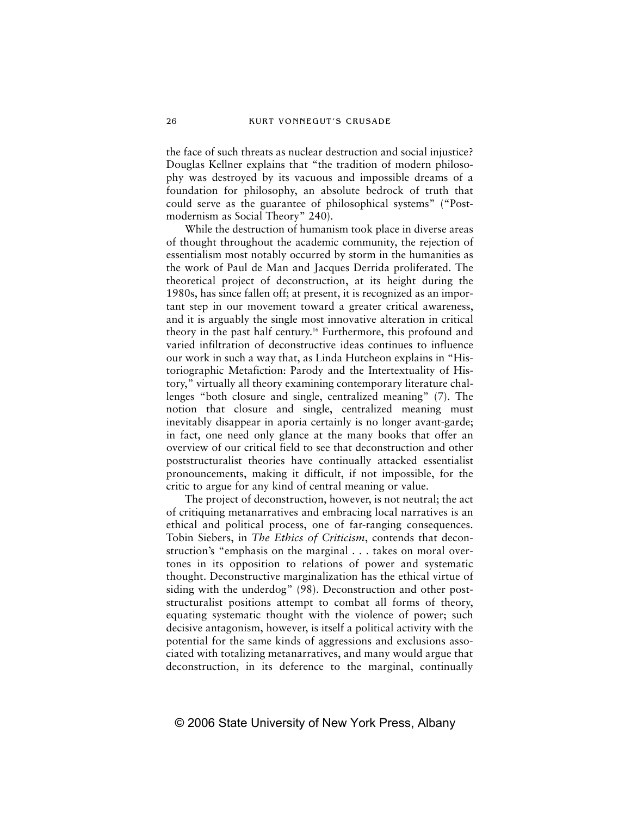the face of such threats as nuclear destruction and social injustice? Douglas Kellner explains that "the tradition of modern philosophy was destroyed by its vacuous and impossible dreams of a foundation for philosophy, an absolute bedrock of truth that could serve as the guarantee of philosophical systems" ("Postmodernism as Social Theory" 240).

While the destruction of humanism took place in diverse areas of thought throughout the academic community, the rejection of essentialism most notably occurred by storm in the humanities as the work of Paul de Man and Jacques Derrida proliferated. The theoretical project of deconstruction, at its height during the 1980s, has since fallen off; at present, it is recognized as an important step in our movement toward a greater critical awareness, and it is arguably the single most innovative alteration in critical theory in the past half century. <sup>16</sup> Furthermore, this profound and varied infiltration of deconstructive ideas continues to influence our work in such a way that, as Linda Hutcheon explains in "Historiographic Metafiction: Parody and the Intertextuality of History," virtually all theory examining contemporary literature challenges "both closure and single, centralized meaning" (7). The notion that closure and single, centralized meaning must inevitably disappear in aporia certainly is no longer avant-garde; in fact, one need only glance at the many books that offer an overview of our critical field to see that deconstruction and other poststructuralist theories have continually attacked essentialist pronouncements, making it difficult, if not impossible, for the critic to argue for any kind of central meaning or value.

The project of deconstruction, however, is not neutral; the act of critiquing metanarratives and embracing local narratives is an ethical and political process, one of far-ranging consequences. Tobin Siebers, in *The Ethics of Criticism*, contends that deconstruction's "emphasis on the marginal ... takes on moral overtones in its opposition to relations of power and systematic thought. Deconstructive marginalization has the ethical virtue of siding with the underdog" (98). Deconstruction and other poststructuralist positions attempt to combat all forms of theory, equating systematic thought with the violence of power; such decisive antagonism, however, is itself a political activity with the potential for the same kinds of aggressions and exclusions associated with totalizing metanarratives, and many would argue that deconstruction, in its deference to the marginal, continually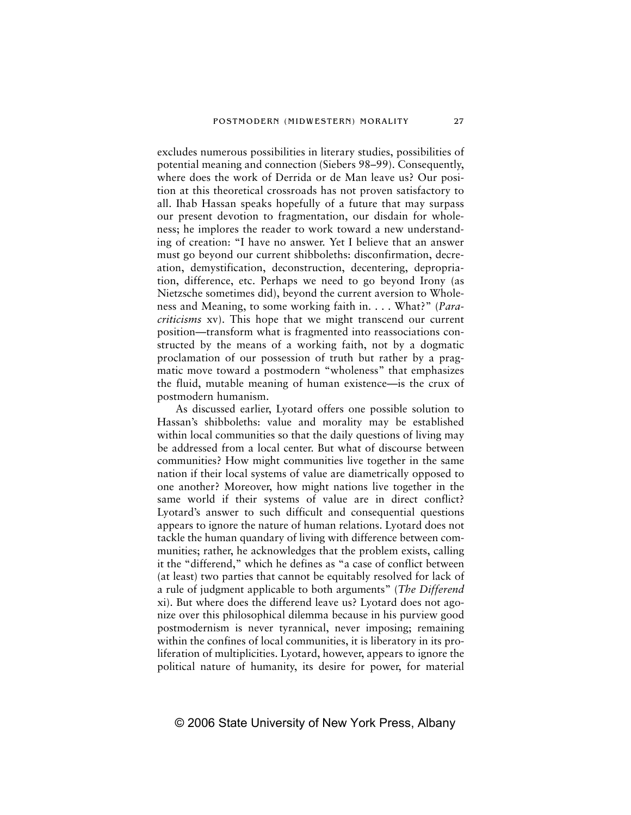excludes numerous possibilities in literary studies, possibilities of potential meaning and connection (Siebers 98–99). Consequently, where does the work of Derrida or de Man leave us? Our position at this theoretical crossroads has not proven satisfactory to all. Ihab Hassan speaks hopefully of a future that may surpass our present devotion to fragmentation, our disdain for wholeness; he implores the reader to work toward a new understanding of creation: "I have no answer. Yet I believe that an answer must go beyond our current shibboleths: disconfirmation, decreation, demystification, deconstruction, decentering, depropriation, difference, etc. Perhaps we need to go beyond Irony (as Nietzsche sometimes did), beyond the current aversion to Wholeness and Meaning, to some working faith in.... What?" (*Paracriticisms* xv). This hope that we might transcend our current position—transform what is fragmented into reassociations constructed by the means of a working faith, not by a dogmatic proclamation of our possession of truth but rather by a pragmatic move toward a postmodern "wholeness" that emphasizes the fluid, mutable meaning of human existence—is the crux of postmodern humanism.

As discussed earlier, Lyotard offers one possible solution to Hassan's shibboleths: value and morality may be established within local communities so that the daily questions of living may be addressed from a local center. But what of discourse between communities? How might communities live together in the same nation if their local systems of value are diametrically opposed to one another? Moreover, how might nations live together in the same world if their systems of value are in direct conflict? Lyotard's answer to such difficult and consequential questions appears to ignore the nature of human relations. Lyotard does not tackle the human quandary of living with difference between communities; rather, he acknowledges that the problem exists, calling it the "differend," which he defines as "a case of conflict between (at least) two parties that cannot be equitably resolved for lack of a rule of judgment applicable to both arguments" (*The Differend* xi). But where does the differend leave us? Lyotard does not agonize over this philosophical dilemma because in his purview good postmodernism is never tyrannical, never imposing; remaining within the confines of local communities, it is liberatory in its proliferation of multiplicities. Lyotard, however, appears to ignore the political nature of humanity, its desire for power, for material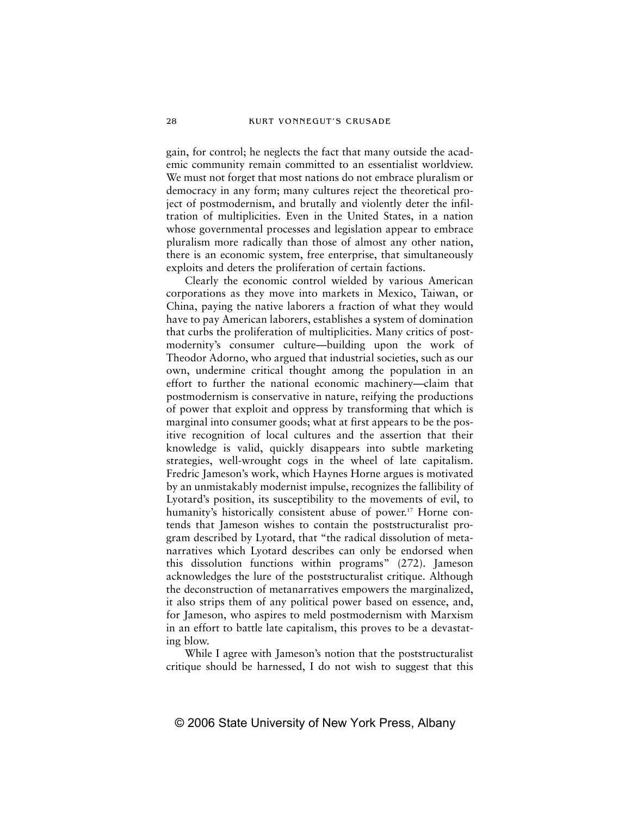gain, for control; he neglects the fact that many outside the academic community remain committed to an essentialist worldview. We must not forget that most nations do not embrace pluralism or democracy in any form; many cultures reject the theoretical project of postmodernism, and brutally and violently deter the infiltration of multiplicities. Even in the United States, in a nation whose governmental processes and legislation appear to embrace pluralism more radically than those of almost any other nation, there is an economic system, free enterprise, that simultaneously exploits and deters the proliferation of certain factions.

Clearly the economic control wielded by various American corporations as they move into markets in Mexico, Taiwan, or China, paying the native laborers a fraction of what they would have to pay American laborers, establishes a system of domination that curbs the proliferation of multiplicities. Many critics of postmodernity's consumer culture—building upon the work of Theodor Adorno, who argued that industrial societies, such as our own, undermine critical thought among the population in an effort to further the national economic machinery—claim that postmodernism is conservative in nature, reifying the productions of power that exploit and oppress by transforming that which is marginal into consumer goods; what at first appears to be the positive recognition of local cultures and the assertion that their knowledge is valid, quickly disappears into subtle marketing strategies, well-wrought cogs in the wheel of late capitalism. Fredric Jameson's work, which Haynes Horne argues is motivated by an unmistakably modernist impulse, recognizes the fallibility of Lyotard's position, its susceptibility to the movements of evil, to humanity's historically consistent abuse of power. <sup>17</sup> Horne contends that Jameson wishes to contain the poststructuralist program described by Lyotard, that "the radical dissolution of metanarratives which Lyotard describes can only be endorsed when this dissolution functions within programs" (272). Jameson acknowledges the lure of the poststructuralist critique. Although the deconstruction of metanarratives empowers the marginalized, it also strips them of any political power based on essence, and, for Jameson, who aspires to meld postmodernism with Marxism in an effort to battle late capitalism, this proves to be a devastating blow.

While I agree with Jameson's notion that the poststructuralist critique should be harnessed, I do not wish to suggest that this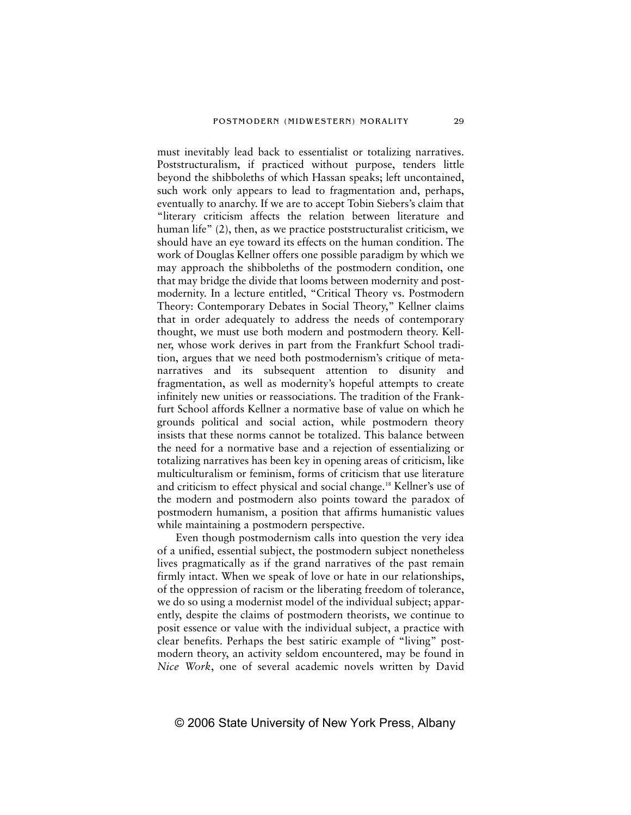must inevitably lead back to essentialist or totalizing narratives. Poststructuralism, if practiced without purpose, tenders little beyond the shibboleths of which Hassan speaks; left uncontained, such work only appears to lead to fragmentation and, perhaps, eventually to anarchy. If we are to accept Tobin Siebers's claim that "literary criticism affects the relation between literature and human life" (2), then, as we practice poststructuralist criticism, we should have an eye toward its effects on the human condition. The work of Douglas Kellner offers one possible paradigm by which we may approach the shibboleths of the postmodern condition, one that may bridge the divide that looms between modernity and postmodernity. In a lecture entitled, "Critical Theory vs. Postmodern Theory: Contemporary Debates in Social Theory," Kellner claims that in order adequately to address the needs of contemporary thought, we must use both modern and postmodern theory. Kellner, whose work derives in part from the Frankfurt School tradition, argues that we need both postmodernism's critique of metanarratives and its subsequent attention to disunity and fragmentation, as well as modernity's hopeful attempts to create infinitely new unities or reassociations. The tradition of the Frankfurt School affords Kellner a normative base of value on which he grounds political and social action, while postmodern theory insists that these norms cannot be totalized. This balance between the need for a normative base and a rejection of essentializing or totalizing narratives has been key in opening areas of criticism, like multiculturalism or feminism, forms of criticism that use literature and criticism to effect physical and social change. <sup>18</sup> Kellner's use of the modern and postmodern also points toward the paradox of postmodern humanism, a position that affirms humanistic values while maintaining a postmodern perspective.

Even though postmodernism calls into question the very idea of a unified, essential subject, the postmodern subject nonetheless lives pragmatically as if the grand narratives of the past remain firmly intact. When we speak of love or hate in our relationships, of the oppression of racism or the liberating freedom of tolerance, we do so using a modernist model of the individual subject; apparently, despite the claims of postmodern theorists, we continue to posit essence or value with the individual subject, a practice with clear benefits. Perhaps the best satiric example of "living" postmodern theory, an activity seldom encountered, may be found in *Nice Work*, one of several academic novels written by David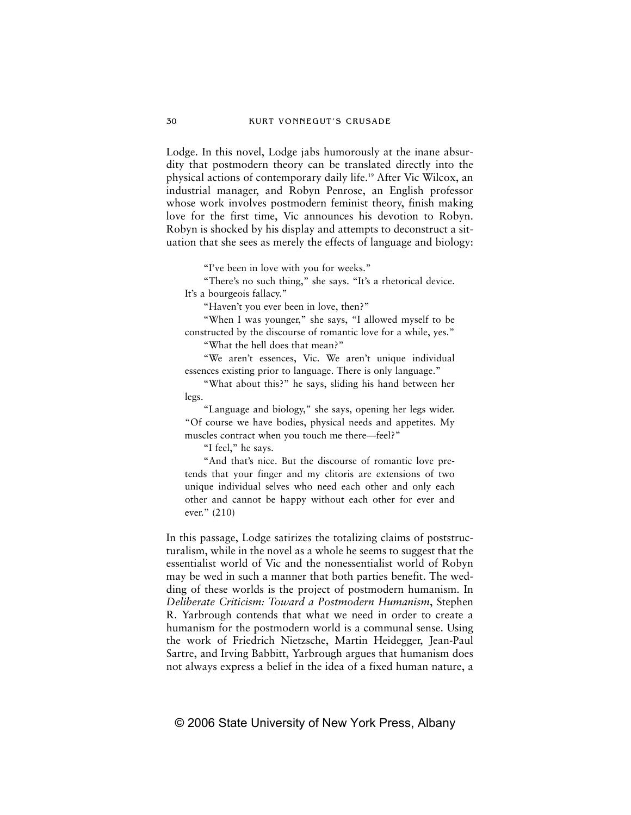Lodge. In this novel, Lodge jabs humorously at the inane absurdity that postmodern theory can be translated directly into the physical actions of contemporary daily life. <sup>19</sup> After Vic Wilcox, an industrial manager, and Robyn Penrose, an English professor whose work involves postmodern feminist theory, finish making love for the first time, Vic announces his devotion to Robyn. Robyn is shocked by his display and attempts to deconstruct a situation that she sees as merely the effects of language and biology:

"I've been in love with you for weeks."

"There's no such thing," she says. "It's a rhetorical device. It's a bourgeois fallacy."

"Haven't you ever been in love, then?"

"When I was younger," she says, "I allowed myself to be constructed by the discourse of romantic love for a while, yes."

"What the hell does that mean?"

"We aren't essences, Vic. We aren't unique individual essences existing prior to language. There is only language."

"What about this?" he says, sliding his hand between her legs.

"Language and biology," she says, opening her legs wider. "Of course we have bodies, physical needs and appetites. My muscles contract when you touch me there—feel?"

"I feel," he says.

"And that's nice. But the discourse of romantic love pretends that your finger and my clitoris are extensions of two unique individual selves who need each other and only each other and cannot be happy without each other for ever and ever." (210)

In this passage, Lodge satirizes the totalizing claims of poststructuralism, while in the novel as a whole he seems to suggest that the essentialist world of Vic and the nonessentialist world of Robyn may be wed in such a manner that both parties benefit. The wedding of these worlds is the project of postmodern humanism. In *Deliberate Criticism: Toward a Postmodern Humanism*, Stephen R. Yarbrough contends that what we need in order to create a humanism for the postmodern world is a communal sense. Using the work of Friedrich Nietzsche, Martin Heidegger, Jean-Paul Sartre, and Irving Babbitt, Yarbrough argues that humanism does not always express a belief in the idea of a fixed human nature, a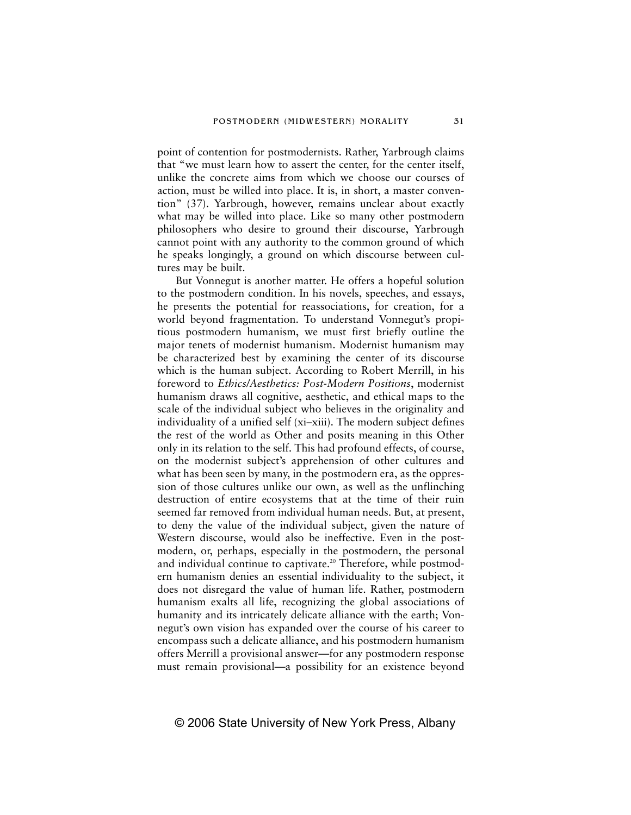point of contention for postmodernists. Rather, Yarbrough claims that "we must learn how to assert the center, for the center itself, unlike the concrete aims from which we choose our courses of action, must be willed into place. It is, in short, a master convention" (37). Yarbrough, however, remains unclear about exactly what may be willed into place. Like so many other postmodern philosophers who desire to ground their discourse, Yarbrough cannot point with any authority to the common ground of which he speaks longingly, a ground on which discourse between cultures may be built.

But Vonnegut is another matter. He offers a hopeful solution to the postmodern condition. In his novels, speeches, and essays, he presents the potential for reassociations, for creation, for a world beyond fragmentation. To understand Vonnegut's propitious postmodern humanism, we must first briefly outline the major tenets of modernist humanism. Modernist humanism may be characterized best by examining the center of its discourse which is the human subject. According to Robert Merrill, in his foreword to *Ethics/Aesthetics: Post-Modern Positions*, modernist humanism draws all cognitive, aesthetic, and ethical maps to the scale of the individual subject who believes in the originality and individuality of a unified self (xi–xiii). The modern subject defines the rest of the world as Other and posits meaning in this Other only in its relation to the self. This had profound effects, of course, on the modernist subject's apprehension of other cultures and what has been seen by many, in the postmodern era, as the oppression of those cultures unlike our own, as well as the unflinching destruction of entire ecosystems that at the time of their ruin seemed far removed from individual human needs. But, at present, to deny the value of the individual subject, given the nature of Western discourse, would also be ineffective. Even in the postmodern, or, perhaps, especially in the postmodern, the personal and individual continue to captivate. <sup>20</sup> Therefore, while postmodern humanism denies an essential individuality to the subject, it does not disregard the value of human life. Rather, postmodern humanism exalts all life, recognizing the global associations of humanity and its intricately delicate alliance with the earth; Vonnegut's own vision has expanded over the course of his career to encompass such a delicate alliance, and his postmodern humanism offers Merrill a provisional answer—for any postmodern response must remain provisional—a possibility for an existence beyond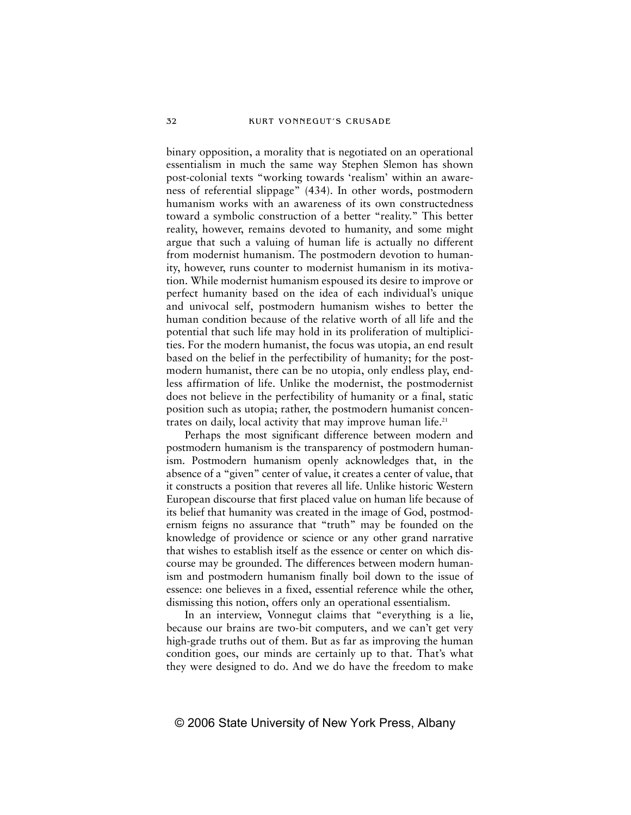binary opposition, a morality that is negotiated on an operational essentialism in much the same way Stephen Slemon has shown post-colonial texts "working towards 'realism' within an awareness of referential slippage" (434). In other words, postmodern humanism works with an awareness of its own constructedness toward a symbolic construction of a better "reality." This better reality, however, remains devoted to humanity, and some might argue that such a valuing of human life is actually no different from modernist humanism. The postmodern devotion to humanity, however, runs counter to modernist humanism in its motivation. While modernist humanism espoused its desire to improve or perfect humanity based on the idea of each individual's unique and univocal self, postmodern humanism wishes to better the human condition because of the relative worth of all life and the potential that such life may hold in its proliferation of multiplicities. For the modern humanist, the focus was utopia, an end result based on the belief in the perfectibility of humanity; for the postmodern humanist, there can be no utopia, only endless play, endless affirmation of life. Unlike the modernist, the postmodernist does not believe in the perfectibility of humanity or a final, static position such as utopia; rather, the postmodern humanist concentrates on daily, local activity that may improve human life.<sup>21</sup>

Perhaps the most significant difference between modern and postmodern humanism is the transparency of postmodern humanism. Postmodern humanism openly acknowledges that, in the absence of a "given" center of value, it creates a center of value, that it constructs a position that reveres all life. Unlike historic Western European discourse that first placed value on human life because of its belief that humanity was created in the image of God, postmodernism feigns no assurance that "truth" may be founded on the knowledge of providence or science or any other grand narrative that wishes to establish itself as the essence or center on which discourse may be grounded. The differences between modern humanism and postmodern humanism finally boil down to the issue of essence: one believes in a fixed, essential reference while the other, dismissing this notion, offers only an operational essentialism.

In an interview, Vonnegut claims that "everything is a lie, because our brains are two-bit computers, and we can't get very high-grade truths out of them. But as far as improving the human condition goes, our minds are certainly up to that. That's what they were designed to do. And we do have the freedom to make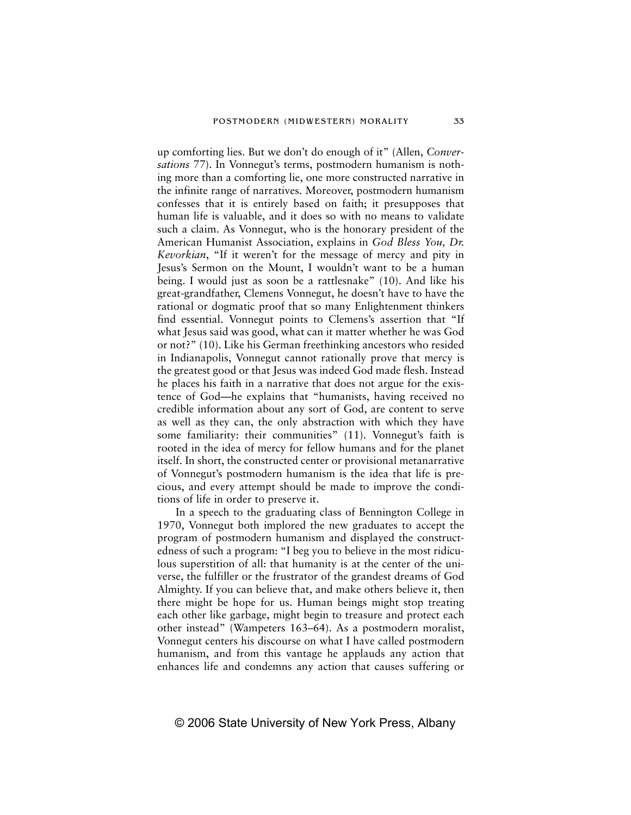up comforting lies. But we don't do enough of it" (Allen, *Conversations* 77). In Vonnegut's terms, postmodern humanism is nothing more than a comforting lie, one more constructed narrative in the infinite range of narratives. Moreover, postmodern humanism confesses that it is entirely based on faith; it presupposes that human life is valuable, and it does so with no means to validate such a claim. As Vonnegut, who is the honorary president of the American Humanist Association, explains in *God Bless You, Dr. Kevorkian*, "If it weren't for the message of mercy and pity in Jesus's Sermon on the Mount, I wouldn't want to be a human being. I would just as soon be a rattlesnake" (10). And like his great-grandfather, Clemens Vonnegut, he doesn't have to have the rational or dogmatic proof that so many Enlightenment thinkers find essential. Vonnegut points to Clemens's assertion that "If what Jesus said was good, what can it matter whether he was God or not?" (10). Like his German freethinking ancestors who resided in Indianapolis, Vonnegut cannot rationally prove that mercy is the greatest good or that Jesus was indeed God made flesh. Instead he places his faith in a narrative that does not argue for the existence of God—he explains that "humanists, having received no credible information about any sort of God, are content to serve as well as they can, the only abstraction with which they have some familiarity: their communities" (11). Vonnegut's faith is rooted in the idea of mercy for fellow humans and for the planet itself. In short, the constructed center or provisional metanarrative of Vonnegut's postmodern humanism is the idea that life is precious, and every attempt should be made to improve the conditions of life in order to preserve it.

In a speech to the graduating class of Bennington College in 1970, Vonnegut both implored the new graduates to accept the program of postmodern humanism and displayed the constructedness of such a program: "I beg you to believe in the most ridiculous superstition of all: that humanity is at the center of the universe, the fulfiller or the frustrator of the grandest dreams of God Almighty. If you can believe that, and make others believe it, then there might be hope for us. Human beings might stop treating each other like garbage, might begin to treasure and protect each other instead" (Wampeters 163–64). As a postmodern moralist, Vonnegut centers his discourse on what I have called postmodern humanism, and from this vantage he applauds any action that enhances life and condemns any action that causes suffering or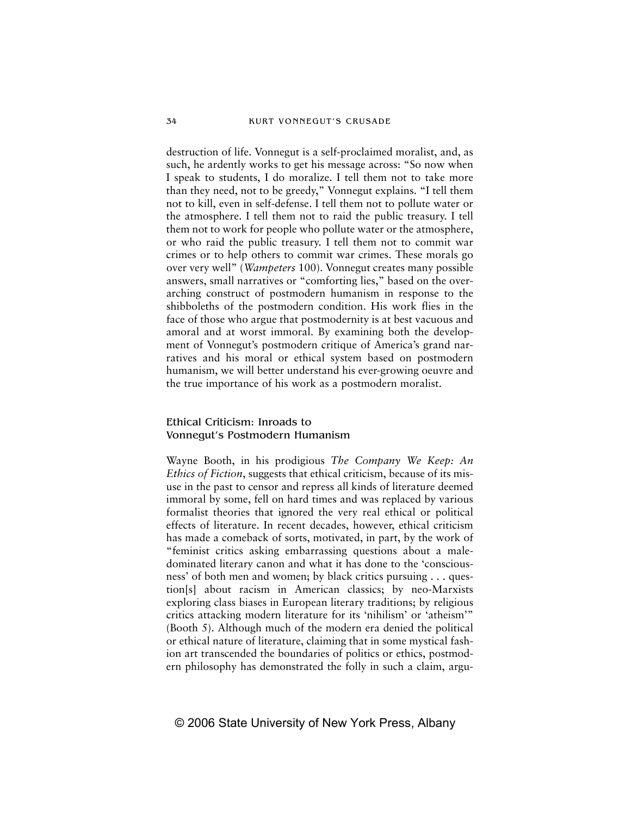destruction of life. Vonnegut is a self-proclaimed moralist, and, as such, he ardently works to get his message across: "So now when I speak to students, I do moralize. I tell them not to take more than they need, not to be greedy," Vonnegut explains. "I tell them not to kill, even in self-defense. I tell them not to pollute water or the atmosphere. I tell them not to raid the public treasury. I tell them not to work for people who pollute water or the atmosphere, or who raid the public treasury. I tell them not to commit war crimes or to help others to commit war crimes. These morals go over very well" (*Wampeters* 100). Vonnegut creates many possible answers, small narratives or "comforting lies," based on the overarching construct of postmodern humanism in response to the shibboleths of the postmodern condition. His work flies in the face of those who argue that postmodernity is at best vacuous and amoral and at worst immoral. By examining both the development of Vonnegut's postmodern critique of America's grand narratives and his moral or ethical system based on postmodern humanism, we will better understand his ever-growing oeuvre and the true importance of his work as a postmodern moralist.

### Ethical Criticism: Inroads to Vonnegut's Postmodern Humanism

Wayne Booth, in his prodigious *The Company We Keep: An Ethics of Fiction*, suggests that ethical criticism, because of its misuse in the past to censor and repress all kinds of literature deemed immoral by some, fell on hard times and was replaced by various formalist theories that ignored the very real ethical or political effects of literature. In recent decades, however, ethical criticism has made a comeback of sorts, motivated, in part, by the work of "feminist critics asking embarrassing questions about a maledominated literary canon and what it has done to the 'consciousness' of both men and women; by black critics pursuing ... question[s] about racism in American classics; by neo-Marxists exploring class biases in European literary traditions; by religious critics attacking modern literature for its 'nihilism' or 'atheism'" (Booth 5). Although much of the modern era denied the political or ethical nature of literature, claiming that in some mystical fashion art transcended the boundaries of politics or ethics, postmodern philosophy has demonstrated the folly in such a claim, argu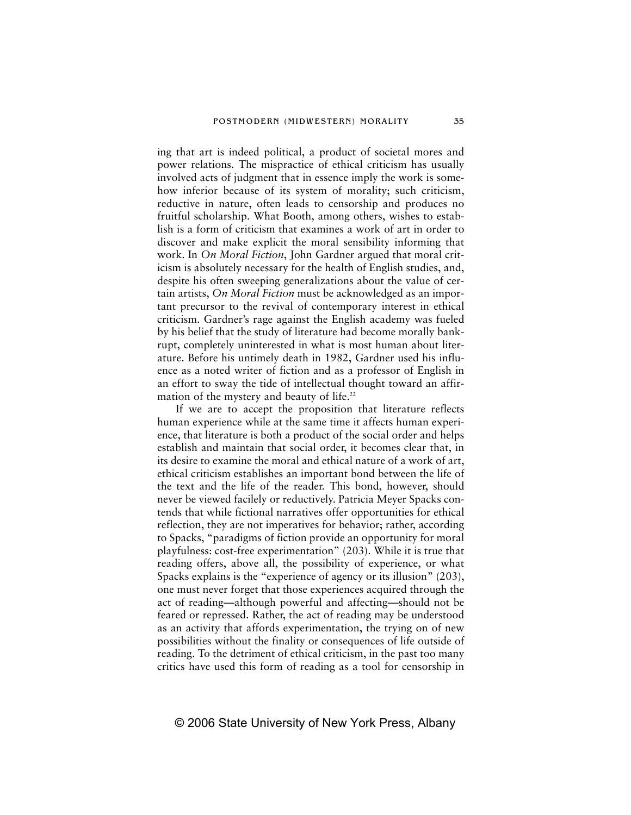ing that art is indeed political, a product of societal mores and power relations. The mispractice of ethical criticism has usually involved acts of judgment that in essence imply the work is somehow inferior because of its system of morality; such criticism, reductive in nature, often leads to censorship and produces no fruitful scholarship. What Booth, among others, wishes to establish is a form of criticism that examines a work of art in order to discover and make explicit the moral sensibility informing that work. In *On Moral Fiction*, John Gardner argued that moral criticism is absolutely necessary for the health of English studies, and, despite his often sweeping generalizations about the value of certain artists, *On Moral Fiction* must be acknowledged as an important precursor to the revival of contemporary interest in ethical criticism. Gardner's rage against the English academy was fueled by his belief that the study of literature had become morally bankrupt, completely uninterested in what is most human about literature. Before his untimely death in 1982, Gardner used his influence as a noted writer of fiction and as a professor of English in an effort to sway the tide of intellectual thought toward an affirmation of the mystery and beauty of life.<sup>22</sup>

If we are to accept the proposition that literature reflects human experience while at the same time it affects human experience, that literature is both a product of the social order and helps establish and maintain that social order, it becomes clear that, in its desire to examine the moral and ethical nature of a work of art, ethical criticism establishes an important bond between the life of the text and the life of the reader. This bond, however, should never be viewed facilely or reductively. Patricia Meyer Spacks contends that while fictional narratives offer opportunities for ethical reflection, they are not imperatives for behavior; rather, according to Spacks, "paradigms of fiction provide an opportunity for moral playfulness: cost-free experimentation" (203). While it is true that reading offers, above all, the possibility of experience, or what Spacks explains is the "experience of agency or its illusion" (203), one must never forget that those experiences acquired through the act of reading—although powerful and affecting—should not be feared or repressed. Rather, the act of reading may be understood as an activity that affords experimentation, the trying on of new possibilities without the finality or consequences of life outside of reading. To the detriment of ethical criticism, in the past too many critics have used this form of reading as a tool for censorship in